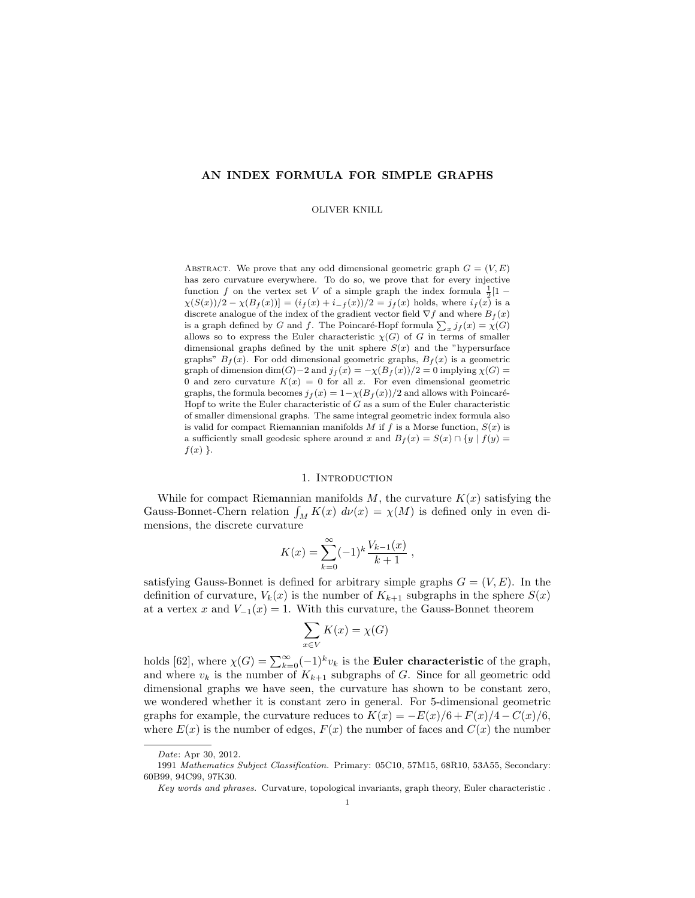## AN INDEX FORMULA FOR SIMPLE GRAPHS

#### OLIVER KNILL

ABSTRACT. We prove that any odd dimensional geometric graph  $G = (V, E)$ has zero curvature everywhere. To do so, we prove that for every injective function f on the vertex set V of a simple graph the index formula  $\frac{1}{2}[1 \chi(S(x))/2 - \chi(B_f(x))] = (i_f(x) + i_{-f}(x))/2 = j_f(x)$  holds, where  $i_f(x)$  is a discrete analogue of the index of the gradient vector field  $\nabla f$  and where  $B_f(x)$ is a graph defined by G and f. The Poincaré-Hopf formula  $\sum_x j_f(x) = \chi(G)$ allows so to express the Euler characteristic  $\chi(G)$  of G in terms of smaller dimensional graphs defined by the unit sphere  $S(x)$  and the "hypersurface graphs"  $B_f(x)$ . For odd dimensional geometric graphs,  $B_f(x)$  is a geometric graph of dimension dim(G)−2 and  $j_f(x) = -\chi(B_f(x))/2 = 0$  implying  $\chi(G)$  = 0 and zero curvature  $K(x) = 0$  for all x. For even dimensional geometric graphs, the formula becomes  $j_f(x) = 1-\chi(B_f(x))/2$  and allows with Poincaré-Hopf to write the Euler characteristic of  $G$  as a sum of the Euler characteristic of smaller dimensional graphs. The same integral geometric index formula also is valid for compact Riemannian manifolds M if f is a Morse function,  $S(x)$  is a sufficiently small geodesic sphere around x and  $B_f(x) = S(x) \cap {y | f(y)} =$  $f(x)$ .

#### 1. Introduction

While for compact Riemannian manifolds  $M$ , the curvature  $K(x)$  satisfying the Gauss-Bonnet-Chern relation  $\int_M K(x) d\nu(x) = \chi(M)$  is defined only in even dimensions, the discrete curvature

$$
K(x) = \sum_{k=0}^{\infty} (-1)^k \frac{V_{k-1}(x)}{k+1} ,
$$

satisfying Gauss-Bonnet is defined for arbitrary simple graphs  $G = (V, E)$ . In the definition of curvature,  $V_k(x)$  is the number of  $K_{k+1}$  subgraphs in the sphere  $S(x)$ at a vertex x and  $V_{-1}(x) = 1$ . With this curvature, the Gauss-Bonnet theorem

$$
\sum_{x \in V} K(x) = \chi(G)
$$

holds [62], where  $\chi(G) = \sum_{k=0}^{\infty} (-1)^k v_k$  is the **Euler characteristic** of the graph, and where  $v_k$  is the number of  $K_{k+1}$  subgraphs of G. Since for all geometric odd dimensional graphs we have seen, the curvature has shown to be constant zero, we wondered whether it is constant zero in general. For 5-dimensional geometric graphs for example, the curvature reduces to  $K(x) = -E(x)/6 + F(x)/4 - C(x)/6$ , where  $E(x)$  is the number of edges,  $F(x)$  the number of faces and  $C(x)$  the number

Date: Apr 30, 2012.

<sup>1991</sup> Mathematics Subject Classification. Primary: 05C10, 57M15, 68R10, 53A55, Secondary: 60B99, 94C99, 97K30.

Key words and phrases. Curvature, topological invariants, graph theory, Euler characteristic .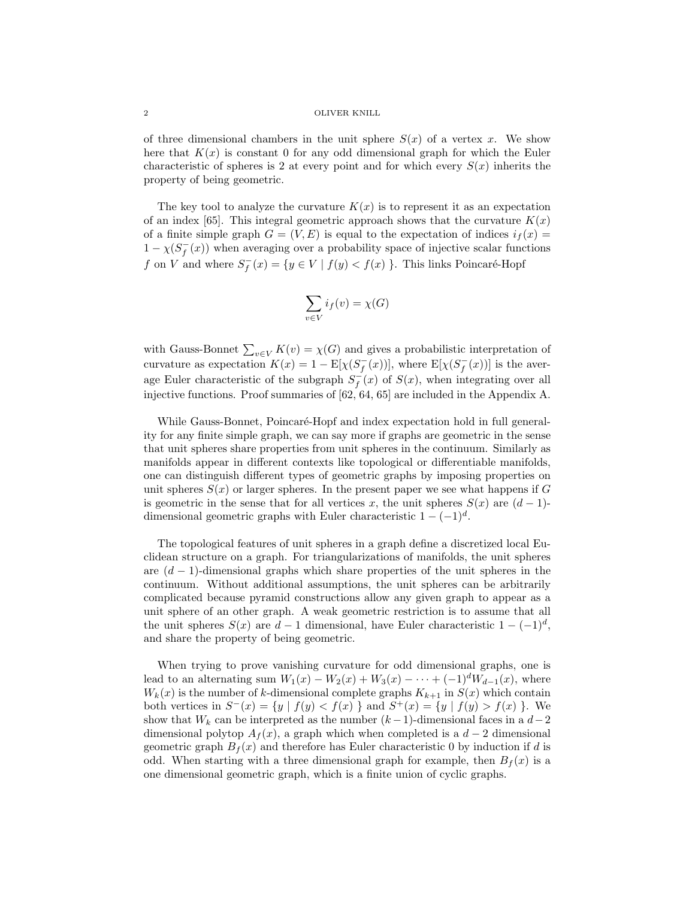of three dimensional chambers in the unit sphere  $S(x)$  of a vertex x. We show here that  $K(x)$  is constant 0 for any odd dimensional graph for which the Euler characteristic of spheres is 2 at every point and for which every  $S(x)$  inherits the property of being geometric.

The key tool to analyze the curvature  $K(x)$  is to represent it as an expectation of an index [65]. This integral geometric approach shows that the curvature  $K(x)$ of a finite simple graph  $G = (V, E)$  is equal to the expectation of indices  $i_f(x) =$  $1 - \chi(S_f^-(x))$  when averaging over a probability space of injective scalar functions f on V and where  $S_f^-(x) = \{y \in V \mid f(y) < f(x)\}$ . This links Poincaré-Hopf

$$
\sum_{v \in V} i_f(v) = \chi(G)
$$

with Gauss-Bonnet  $\sum_{v \in V} K(v) = \chi(G)$  and gives a probabilistic interpretation of curvature as expectation  $K(x) = 1 - \mathbb{E}[\chi(S_f^-(x))],$  where  $\mathbb{E}[\chi(S_f^-(x))]$  is the average Euler characteristic of the subgraph  $S_f^-(x)$  of  $S(x)$ , when integrating over all injective functions. Proof summaries of [62, 64, 65] are included in the Appendix A.

While Gauss-Bonnet, Poincaré-Hopf and index expectation hold in full generality for any finite simple graph, we can say more if graphs are geometric in the sense that unit spheres share properties from unit spheres in the continuum. Similarly as manifolds appear in different contexts like topological or differentiable manifolds, one can distinguish different types of geometric graphs by imposing properties on unit spheres  $S(x)$  or larger spheres. In the present paper we see what happens if G is geometric in the sense that for all vertices x, the unit spheres  $S(x)$  are  $(d-1)$ dimensional geometric graphs with Euler characteristic  $1 - (-1)^d$ .

The topological features of unit spheres in a graph define a discretized local Euclidean structure on a graph. For triangularizations of manifolds, the unit spheres are  $(d-1)$ -dimensional graphs which share properties of the unit spheres in the continuum. Without additional assumptions, the unit spheres can be arbitrarily complicated because pyramid constructions allow any given graph to appear as a unit sphere of an other graph. A weak geometric restriction is to assume that all the unit spheres  $S(x)$  are  $d-1$  dimensional, have Euler characteristic  $1-(-1)^d$ , and share the property of being geometric.

When trying to prove vanishing curvature for odd dimensional graphs, one is lead to an alternating sum  $W_1(x) - W_2(x) + W_3(x) - \cdots + (-1)^d W_{d-1}(x)$ , where  $W_k(x)$  is the number of k-dimensional complete graphs  $K_{k+1}$  in  $S(x)$  which contain both vertices in  $S^{-}(x) = \{y \mid f(y) < f(x)\}$  and  $S^{+}(x) = \{y \mid f(y) > f(x)\}$ . We show that  $W_k$  can be interpreted as the number  $(k-1)$ -dimensional faces in a  $d-2$ dimensional polytop  $A_f(x)$ , a graph which when completed is a  $d-2$  dimensional geometric graph  $B_f(x)$  and therefore has Euler characteristic 0 by induction if d is odd. When starting with a three dimensional graph for example, then  $B_f(x)$  is a one dimensional geometric graph, which is a finite union of cyclic graphs.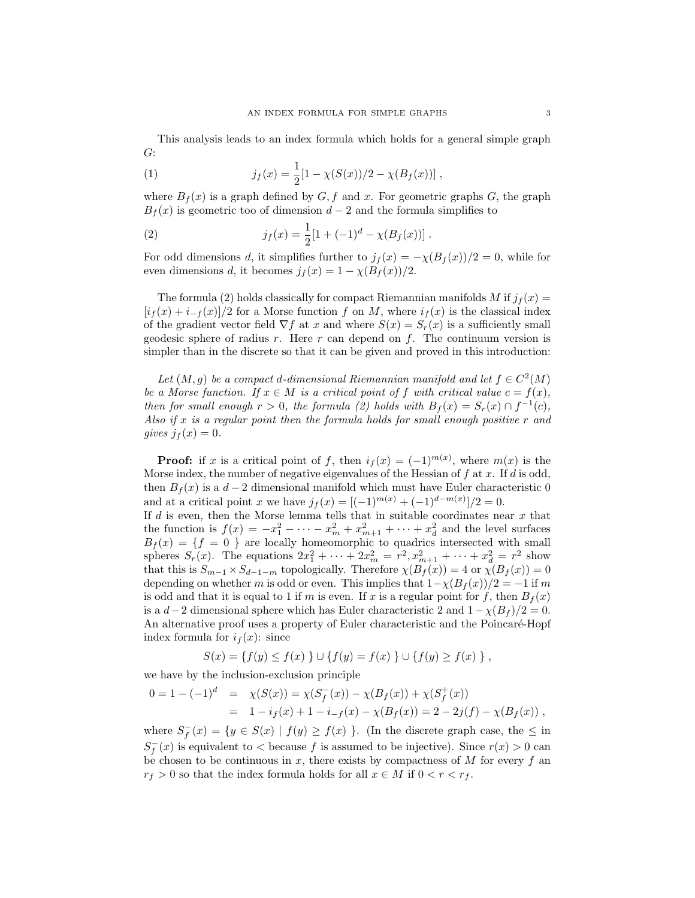This analysis leads to an index formula which holds for a general simple graph G:

(1) 
$$
j_f(x) = \frac{1}{2} [1 - \chi(S(x))/2 - \chi(B_f(x))],
$$

where  $B_f(x)$  is a graph defined by  $G, f$  and x. For geometric graphs  $G$ , the graph  $B<sub>f</sub>(x)$  is geometric too of dimension  $d-2$  and the formula simplifies to

(2) 
$$
j_f(x) = \frac{1}{2} [1 + (-1)^d - \chi(B_f(x))].
$$

For odd dimensions d, it simplifies further to  $j_f(x) = -\chi(B_f(x))/2 = 0$ , while for even dimensions d, it becomes  $j_f(x) = 1 - \chi(B_f(x))/2$ .

The formula (2) holds classically for compact Riemannian manifolds M if  $j_f(x)$  =  $[i_f(x) + i_{-f}(x)]/2$  for a Morse function f on M, where  $i_f(x)$  is the classical index of the gradient vector field  $\nabla f$  at x and where  $S(x) = S_r(x)$  is a sufficiently small geodesic sphere of radius r. Here r can depend on f. The continuum version is simpler than in the discrete so that it can be given and proved in this introduction:

Let  $(M, g)$  be a compact d-dimensional Riemannian manifold and let  $f \in C^2(M)$ be a Morse function. If  $x \in M$  is a critical point of f with critical value  $c = f(x)$ , then for small enough  $r > 0$ , the formula (2) holds with  $B_f(x) = S_r(x) \cap f^{-1}(c)$ , Also if  $x$  is a regular point then the formula holds for small enough positive  $r$  and gives  $j_f(x) = 0$ .

**Proof:** if x is a critical point of f, then  $i_f(x) = (-1)^{m(x)}$ , where  $m(x)$  is the Morse index, the number of negative eigenvalues of the Hessian of  $f$  at  $x$ . If  $d$  is odd, then  $B_f(x)$  is a  $d-2$  dimensional manifold which must have Euler characteristic 0 and at a critical point x we have  $j_f(x) = [(-1)^{m(x)} + (-1)^{d-m(x)}]/2 = 0$ .

If  $d$  is even, then the Morse lemma tells that in suitable coordinates near  $x$  that the function is  $f(x) = -x_1^2 - \cdots - x_m^2 + x_{m+1}^2 + \cdots + x_d^2$  and the level surfaces  $B_f(x) = \{f = 0\}$  are locally homeomorphic to quadrics intersected with small spheres  $S_r(x)$ . The equations  $2x_1^2 + \cdots + 2x_m^2 = r^2, x_{m+1}^2 + \cdots + x_d^2 = r^2$  show that this is  $S_{m-1} \times S_{d-1-m}$  topologically. Therefore  $\chi(B_f(x)) = 4$  or  $\chi(B_f(x)) = 0$ depending on whether m is odd or even. This implies that  $1-\chi(B_f(x))/2 = -1$  if m is odd and that it is equal to 1 if m is even. If x is a regular point for f, then  $B<sub>f</sub>(x)$ is a  $d-2$  dimensional sphere which has Euler characteristic 2 and  $1 - \chi(B_f)/2 = 0$ . An alternative proof uses a property of Euler characteristic and the Poincaré-Hopf index formula for  $i_f(x)$ : since

$$
S(x) = \{f(y) \le f(x) \} \cup \{f(y) = f(x) \} \cup \{f(y) \ge f(x) \},
$$

we have by the inclusion-exclusion principle

$$
0 = 1 - (-1)^d = \chi(S(x)) = \chi(S_f^-(x)) - \chi(B_f(x)) + \chi(S_f^+(x))
$$
  
= 1 - i\_f(x) + 1 - i\_{-f}(x) - \chi(B\_f(x)) = 2 - 2j(f) - \chi(B\_f(x)),

where  $S_f^-(x) = \{y \in S(x) \mid f(y) \ge f(x) \}$ . (In the discrete graph case, the  $\le \text{in}$  $S_f^{-}(x)$  is equivalent to  $\lt$  because f is assumed to be injective). Since  $r(x) > 0$  can be chosen to be continuous in  $x$ , there exists by compactness of  $M$  for every  $f$  an  $r_f > 0$  so that the index formula holds for all  $x \in M$  if  $0 < r < r_f$ .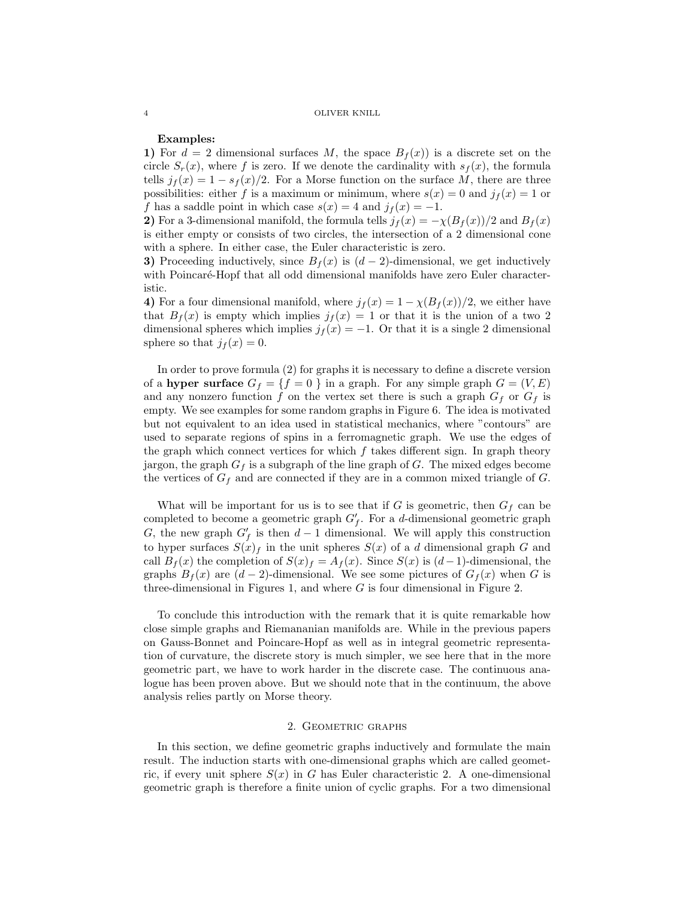## Examples:

1) For  $d = 2$  dimensional surfaces M, the space  $B_f(x)$  is a discrete set on the circle  $S_r(x)$ , where f is zero. If we denote the cardinality with  $s_f(x)$ , the formula tells  $j_f(x) = 1 - s_f(x)/2$ . For a Morse function on the surface M, there are three possibilities: either f is a maximum or minimum, where  $s(x) = 0$  and  $j<sub>f</sub>(x) = 1$  or f has a saddle point in which case  $s(x) = 4$  and  $j_f(x) = -1$ .

2) For a 3-dimensional manifold, the formula tells  $j_f(x) = -\chi(B_f(x))/2$  and  $B_f(x)$ is either empty or consists of two circles, the intersection of a 2 dimensional cone with a sphere. In either case, the Euler characteristic is zero.

3) Proceeding inductively, since  $B_f(x)$  is  $(d-2)$ -dimensional, we get inductively with Poincaré-Hopf that all odd dimensional manifolds have zero Euler characteristic.

4) For a four dimensional manifold, where  $j_f(x) = 1 - \chi(B_f(x))/2$ , we either have that  $B_f(x)$  is empty which implies  $j_f(x) = 1$  or that it is the union of a two 2 dimensional spheres which implies  $j_f(x) = -1$ . Or that it is a single 2 dimensional sphere so that  $j_f(x) = 0$ .

In order to prove formula (2) for graphs it is necessary to define a discrete version of a hyper surface  $G_f = \{f = 0\}$  in a graph. For any simple graph  $G = (V, E)$ and any nonzero function f on the vertex set there is such a graph  $G_f$  or  $G_f$  is empty. We see examples for some random graphs in Figure 6. The idea is motivated but not equivalent to an idea used in statistical mechanics, where "contours" are used to separate regions of spins in a ferromagnetic graph. We use the edges of the graph which connect vertices for which  $f$  takes different sign. In graph theory jargon, the graph  $G_f$  is a subgraph of the line graph of G. The mixed edges become the vertices of  $G_f$  and are connected if they are in a common mixed triangle of  $G$ .

What will be important for us is to see that if  $G$  is geometric, then  $G_f$  can be completed to become a geometric graph  $G'_f$ . For a d-dimensional geometric graph G, the new graph  $G'_f$  is then  $d-1$  dimensional. We will apply this construction to hyper surfaces  $S(x)$  in the unit spheres  $S(x)$  of a d dimensional graph G and call  $B_f(x)$  the completion of  $S(x)_f = A_f(x)$ . Since  $S(x)$  is  $(d-1)$ -dimensional, the graphs  $B_f(x)$  are  $(d-2)$ -dimensional. We see some pictures of  $G_f(x)$  when G is three-dimensional in Figures 1, and where G is four dimensional in Figure 2.

To conclude this introduction with the remark that it is quite remarkable how close simple graphs and Riemananian manifolds are. While in the previous papers on Gauss-Bonnet and Poincare-Hopf as well as in integral geometric representation of curvature, the discrete story is much simpler, we see here that in the more geometric part, we have to work harder in the discrete case. The continuous analogue has been proven above. But we should note that in the continuum, the above analysis relies partly on Morse theory.

#### 2. Geometric graphs

In this section, we define geometric graphs inductively and formulate the main result. The induction starts with one-dimensional graphs which are called geometric, if every unit sphere  $S(x)$  in G has Euler characteristic 2. A one-dimensional geometric graph is therefore a finite union of cyclic graphs. For a two dimensional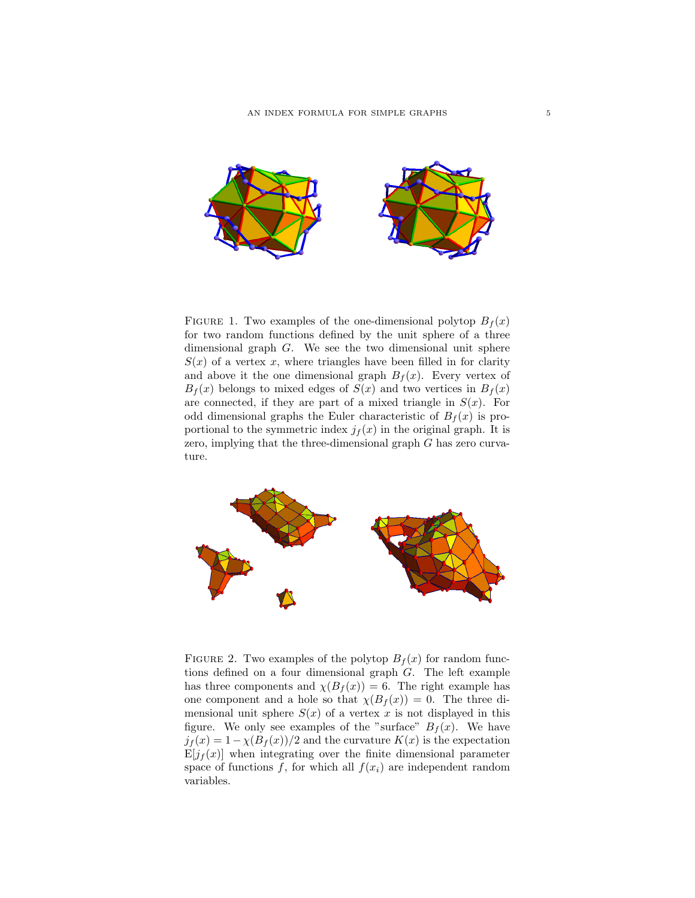

FIGURE 1. Two examples of the one-dimensional polytop  $B_f(x)$ for two random functions defined by the unit sphere of a three dimensional graph G. We see the two dimensional unit sphere  $S(x)$  of a vertex x, where triangles have been filled in for clarity and above it the one dimensional graph  $B_f(x)$ . Every vertex of  $B<sub>f</sub>(x)$  belongs to mixed edges of  $S(x)$  and two vertices in  $B<sub>f</sub>(x)$ are connected, if they are part of a mixed triangle in  $S(x)$ . For odd dimensional graphs the Euler characteristic of  $B_f(x)$  is proportional to the symmetric index  $j_f(x)$  in the original graph. It is zero, implying that the three-dimensional graph G has zero curvature.



FIGURE 2. Two examples of the polytop  $B_f(x)$  for random functions defined on a four dimensional graph G. The left example has three components and  $\chi(B_f(x)) = 6$ . The right example has one component and a hole so that  $\chi(B_f(x)) = 0$ . The three dimensional unit sphere  $S(x)$  of a vertex x is not displayed in this figure. We only see examples of the "surface"  $B_f(x)$ . We have  $j_f(x) = 1 - \chi(B_f(x))/2$  and the curvature  $K(x)$  is the expectation  $E[j_f(x)]$  when integrating over the finite dimensional parameter space of functions f, for which all  $f(x_i)$  are independent random variables.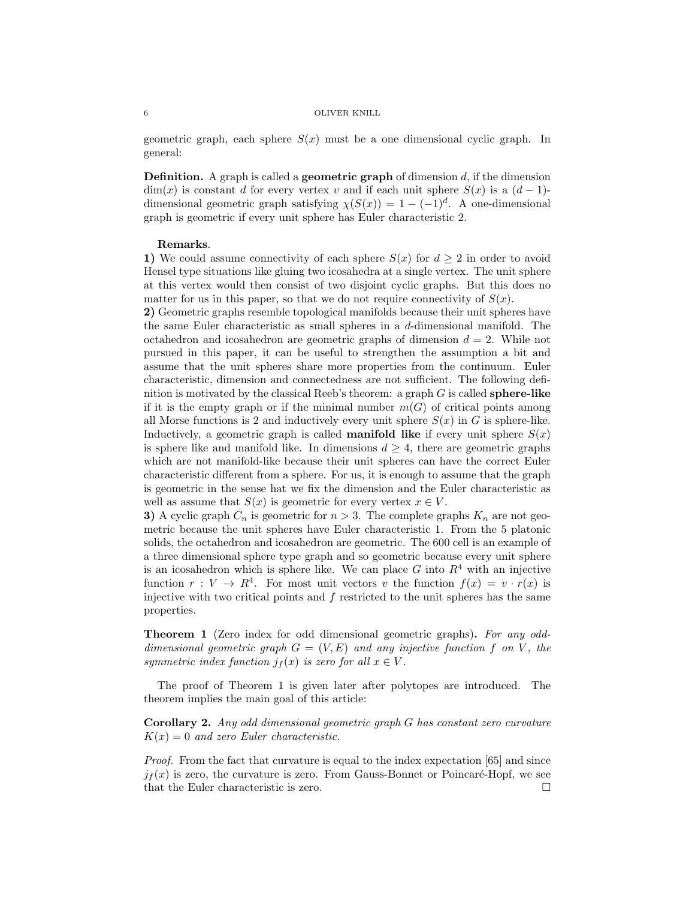geometric graph, each sphere  $S(x)$  must be a one dimensional cyclic graph. In general:

**Definition.** A graph is called a **geometric graph** of dimension  $d$ , if the dimension  $\dim(x)$  is constant d for every vertex v and if each unit sphere  $S(x)$  is a  $(d-1)$ dimensional geometric graph satisfying  $\chi(S(x)) = 1 - (-1)^d$ . A one-dimensional graph is geometric if every unit sphere has Euler characteristic 2.

## Remarks.

1) We could assume connectivity of each sphere  $S(x)$  for  $d \geq 2$  in order to avoid Hensel type situations like gluing two icosahedra at a single vertex. The unit sphere at this vertex would then consist of two disjoint cyclic graphs. But this does no matter for us in this paper, so that we do not require connectivity of  $S(x)$ .

2) Geometric graphs resemble topological manifolds because their unit spheres have the same Euler characteristic as small spheres in a d-dimensional manifold. The octahedron and icosahedron are geometric graphs of dimension  $d = 2$ . While not pursued in this paper, it can be useful to strengthen the assumption a bit and assume that the unit spheres share more properties from the continuum. Euler characteristic, dimension and connectedness are not sufficient. The following definition is motivated by the classical Reeb's theorem: a graph  $G$  is called **sphere-like** if it is the empty graph or if the minimal number  $m(G)$  of critical points among all Morse functions is 2 and inductively every unit sphere  $S(x)$  in G is sphere-like. Inductively, a geometric graph is called **manifold like** if every unit sphere  $S(x)$ is sphere like and manifold like. In dimensions  $d \geq 4$ , there are geometric graphs which are not manifold-like because their unit spheres can have the correct Euler characteristic different from a sphere. For us, it is enough to assume that the graph is geometric in the sense hat we fix the dimension and the Euler characteristic as well as assume that  $S(x)$  is geometric for every vertex  $x \in V$ .

3) A cyclic graph  $C_n$  is geometric for  $n > 3$ . The complete graphs  $K_n$  are not geometric because the unit spheres have Euler characteristic 1. From the 5 platonic solids, the octahedron and icosahedron are geometric. The 600 cell is an example of a three dimensional sphere type graph and so geometric because every unit sphere is an icosahedron which is sphere like. We can place G into  $R<sup>4</sup>$  with an injective function  $r: V \to R^4$ . For most unit vectors v the function  $f(x) = v \cdot r(x)$  is injective with two critical points and  $f$  restricted to the unit spheres has the same properties.

Theorem 1 (Zero index for odd dimensional geometric graphs). For any odddimensional geometric graph  $G = (V, E)$  and any injective function f on V, the symmetric index function  $j_f(x)$  is zero for all  $x \in V$ .

The proof of Theorem 1 is given later after polytopes are introduced. The theorem implies the main goal of this article:

Corollary 2. Any odd dimensional geometric graph G has constant zero curvature  $K(x) = 0$  and zero Euler characteristic.

Proof. From the fact that curvature is equal to the index expectation [65] and since  $j_f(x)$  is zero, the curvature is zero. From Gauss-Bonnet or Poincaré-Hopf, we see that the Euler characteristic is zero.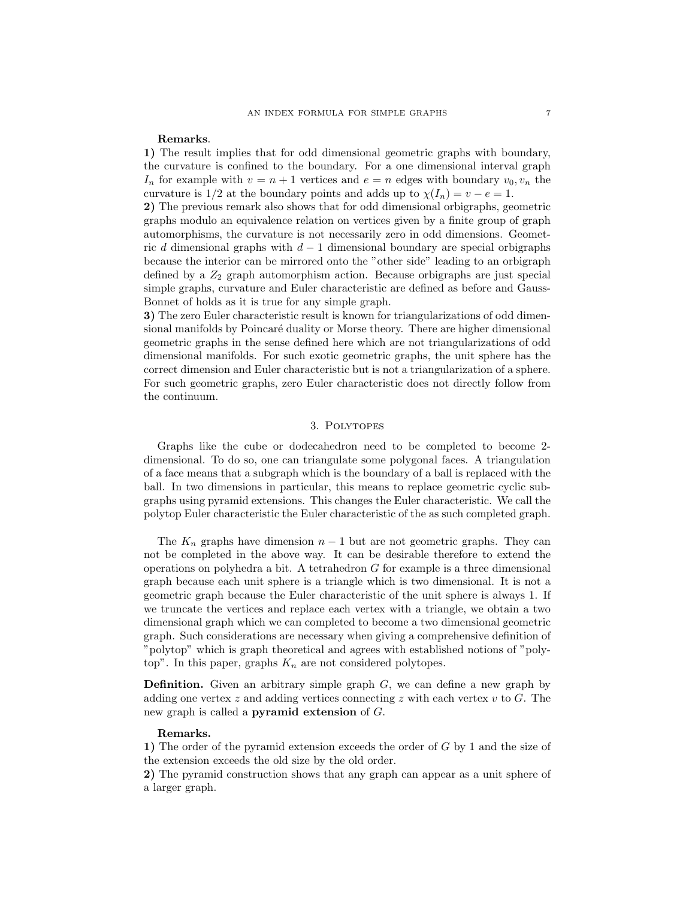## Remarks.

1) The result implies that for odd dimensional geometric graphs with boundary, the curvature is confined to the boundary. For a one dimensional interval graph  $I_n$  for example with  $v = n + 1$  vertices and  $e = n$  edges with boundary  $v_0, v_n$  the curvature is 1/2 at the boundary points and adds up to  $\chi(I_n) = v - e = 1$ .

2) The previous remark also shows that for odd dimensional orbigraphs, geometric graphs modulo an equivalence relation on vertices given by a finite group of graph automorphisms, the curvature is not necessarily zero in odd dimensions. Geometric d dimensional graphs with  $d-1$  dimensional boundary are special orbigraphs because the interior can be mirrored onto the "other side" leading to an orbigraph defined by a  $Z_2$  graph automorphism action. Because orbigraphs are just special simple graphs, curvature and Euler characteristic are defined as before and Gauss-Bonnet of holds as it is true for any simple graph.

3) The zero Euler characteristic result is known for triangularizations of odd dimensional manifolds by Poincaré duality or Morse theory. There are higher dimensional geometric graphs in the sense defined here which are not triangularizations of odd dimensional manifolds. For such exotic geometric graphs, the unit sphere has the correct dimension and Euler characteristic but is not a triangularization of a sphere. For such geometric graphs, zero Euler characteristic does not directly follow from the continuum.

## 3. Polytopes

Graphs like the cube or dodecahedron need to be completed to become 2 dimensional. To do so, one can triangulate some polygonal faces. A triangulation of a face means that a subgraph which is the boundary of a ball is replaced with the ball. In two dimensions in particular, this means to replace geometric cyclic subgraphs using pyramid extensions. This changes the Euler characteristic. We call the polytop Euler characteristic the Euler characteristic of the as such completed graph.

The  $K_n$  graphs have dimension  $n-1$  but are not geometric graphs. They can not be completed in the above way. It can be desirable therefore to extend the operations on polyhedra a bit. A tetrahedron  $G$  for example is a three dimensional graph because each unit sphere is a triangle which is two dimensional. It is not a geometric graph because the Euler characteristic of the unit sphere is always 1. If we truncate the vertices and replace each vertex with a triangle, we obtain a two dimensional graph which we can completed to become a two dimensional geometric graph. Such considerations are necessary when giving a comprehensive definition of "polytop" which is graph theoretical and agrees with established notions of "polytop". In this paper, graphs  $K_n$  are not considered polytopes.

**Definition.** Given an arbitrary simple graph  $G$ , we can define a new graph by adding one vertex  $z$  and adding vertices connecting  $z$  with each vertex  $v$  to  $G$ . The new graph is called a pyramid extension of G.

## Remarks.

1) The order of the pyramid extension exceeds the order of G by 1 and the size of the extension exceeds the old size by the old order.

2) The pyramid construction shows that any graph can appear as a unit sphere of a larger graph.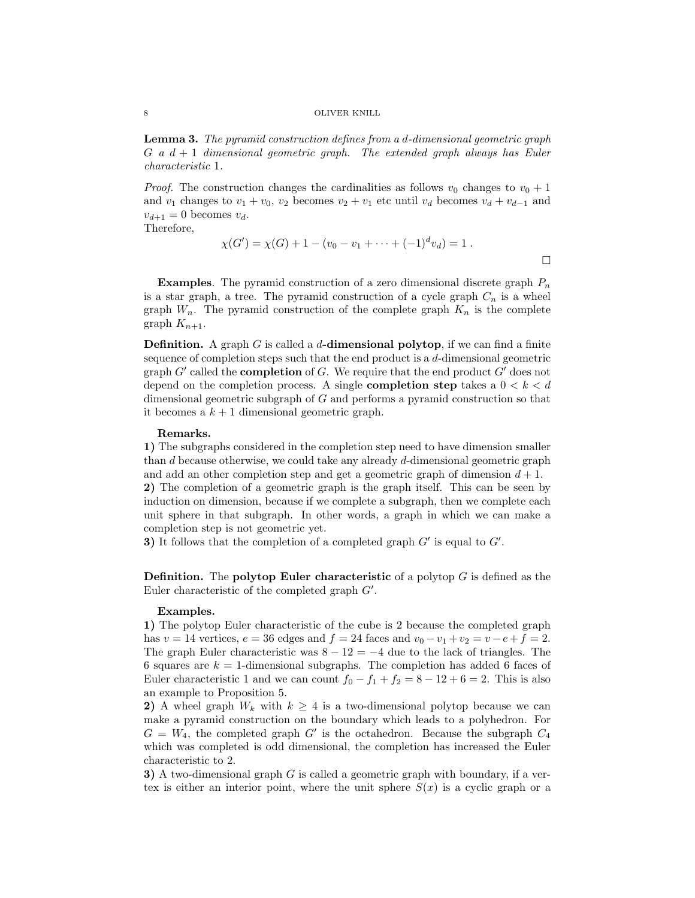Lemma 3. The pyramid construction defines from a d-dimensional geometric graph  $G$  a  $d + 1$  dimensional geometric graph. The extended graph always has Euler characteristic 1.

*Proof.* The construction changes the cardinalities as follows  $v_0$  changes to  $v_0 + 1$ and  $v_1$  changes to  $v_1 + v_0$ ,  $v_2$  becomes  $v_2 + v_1$  etc until  $v_d$  becomes  $v_d + v_{d-1}$  and  $v_{d+1} = 0$  becomes  $v_d$ .

Therefore,

$$
\chi(G') = \chi(G) + 1 - (v_0 - v_1 + \dots + (-1)^d v_d) = 1.
$$

**Examples.** The pyramid construction of a zero dimensional discrete graph  $P_n$ is a star graph, a tree. The pyramid construction of a cycle graph  $C_n$  is a wheel graph  $W_n$ . The pyramid construction of the complete graph  $K_n$  is the complete graph  $K_{n+1}$ .

**Definition.** A graph G is called a  $d$ -dimensional polytop, if we can find a finite sequence of completion steps such that the end product is a d-dimensional geometric graph  $G'$  called the **completion** of  $G$ . We require that the end product  $G'$  does not depend on the completion process. A single **completion step** takes a  $0 < k < d$ dimensional geometric subgraph of G and performs a pyramid construction so that it becomes a  $k + 1$  dimensional geometric graph.

## Remarks.

1) The subgraphs considered in the completion step need to have dimension smaller than d because otherwise, we could take any already d-dimensional geometric graph and add an other completion step and get a geometric graph of dimension  $d + 1$ . 2) The completion of a geometric graph is the graph itself. This can be seen by induction on dimension, because if we complete a subgraph, then we complete each unit sphere in that subgraph. In other words, a graph in which we can make a completion step is not geometric yet.

3) It follows that the completion of a completed graph  $G'$  is equal to  $G'$ .

**Definition.** The **polytop Euler characteristic** of a polytop  $G$  is defined as the Euler characteristic of the completed graph  $G'$ .

## Examples.

1) The polytop Euler characteristic of the cube is 2 because the completed graph has v = 14 vertices,  $e = 36$  edges and  $f = 24$  faces and  $v_0 - v_1 + v_2 = v - e + f = 2$ . The graph Euler characteristic was  $8 - 12 = -4$  due to the lack of triangles. The 6 squares are  $k = 1$ -dimensional subgraphs. The completion has added 6 faces of Euler characteristic 1 and we can count  $f_0 - f_1 + f_2 = 8 - 12 + 6 = 2$ . This is also an example to Proposition 5.

2) A wheel graph  $W_k$  with  $k \geq 4$  is a two-dimensional polytop because we can make a pyramid construction on the boundary which leads to a polyhedron. For  $G = W_4$ , the completed graph G' is the octahedron. Because the subgraph  $C_4$ which was completed is odd dimensional, the completion has increased the Euler characteristic to 2.

3) A two-dimensional graph  $G$  is called a geometric graph with boundary, if a vertex is either an interior point, where the unit sphere  $S(x)$  is a cyclic graph or a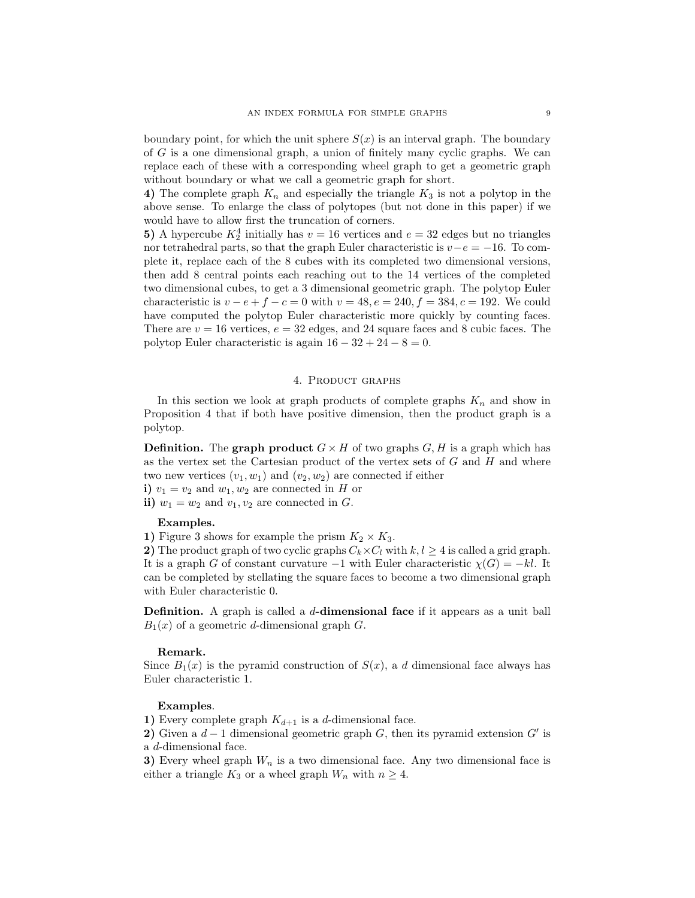boundary point, for which the unit sphere  $S(x)$  is an interval graph. The boundary of G is a one dimensional graph, a union of finitely many cyclic graphs. We can replace each of these with a corresponding wheel graph to get a geometric graph without boundary or what we call a geometric graph for short.

4) The complete graph  $K_n$  and especially the triangle  $K_3$  is not a polytop in the above sense. To enlarge the class of polytopes (but not done in this paper) if we would have to allow first the truncation of corners.

5) A hypercube  $K_2^4$  initially has  $v = 16$  vertices and  $e = 32$  edges but no triangles nor tetrahedral parts, so that the graph Euler characteristic is  $v-e = -16$ . To complete it, replace each of the 8 cubes with its completed two dimensional versions, then add 8 central points each reaching out to the 14 vertices of the completed two dimensional cubes, to get a 3 dimensional geometric graph. The polytop Euler characteristic is  $v - e + f - c = 0$  with  $v = 48$ ,  $e = 240$ ,  $f = 384$ ,  $c = 192$ . We could have computed the polytop Euler characteristic more quickly by counting faces. There are  $v = 16$  vertices,  $e = 32$  edges, and 24 square faces and 8 cubic faces. The polytop Euler characteristic is again  $16 - 32 + 24 - 8 = 0$ .

## 4. Product graphs

In this section we look at graph products of complete graphs  $K_n$  and show in Proposition 4 that if both have positive dimension, then the product graph is a polytop.

**Definition.** The graph product  $G \times H$  of two graphs  $G, H$  is a graph which has as the vertex set the Cartesian product of the vertex sets of  $G$  and  $H$  and where two new vertices  $(v_1, w_1)$  and  $(v_2, w_2)$  are connected if either

- i)  $v_1 = v_2$  and  $w_1, w_2$  are connected in H or
- ii)  $w_1 = w_2$  and  $v_1, v_2$  are connected in G.

## Examples.

1) Figure 3 shows for example the prism  $K_2 \times K_3$ .

2) The product graph of two cyclic graphs  $C_k \times C_l$  with  $k, l \geq 4$  is called a grid graph. It is a graph G of constant curvature  $-1$  with Euler characteristic  $\chi(G) = -kl$ . It can be completed by stellating the square faces to become a two dimensional graph with Euler characteristic 0.

**Definition.** A graph is called a d-dimensional face if it appears as a unit ball  $B_1(x)$  of a geometric d-dimensional graph G.

## Remark.

Since  $B_1(x)$  is the pyramid construction of  $S(x)$ , a d dimensional face always has Euler characteristic 1.

## Examples.

1) Every complete graph  $K_{d+1}$  is a d-dimensional face.

2) Given a  $d-1$  dimensional geometric graph G, then its pyramid extension G' is a d-dimensional face.

3) Every wheel graph  $W_n$  is a two dimensional face. Any two dimensional face is either a triangle  $K_3$  or a wheel graph  $W_n$  with  $n \geq 4$ .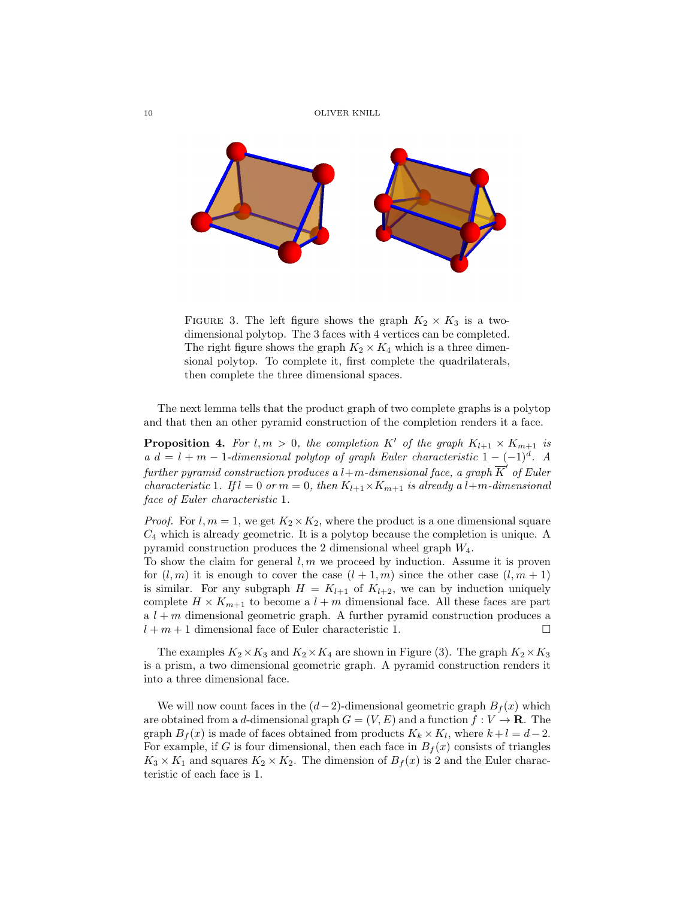

FIGURE 3. The left figure shows the graph  $K_2 \times K_3$  is a twodimensional polytop. The 3 faces with 4 vertices can be completed. The right figure shows the graph  $K_2 \times K_4$  which is a three dimensional polytop. To complete it, first complete the quadrilaterals, then complete the three dimensional spaces.

The next lemma tells that the product graph of two complete graphs is a polytop and that then an other pyramid construction of the completion renders it a face.

**Proposition 4.** For  $l, m > 0$ , the completion K' of the graph  $K_{l+1} \times K_{m+1}$  is a  $d = l + m - 1$ -dimensional polytop of graph Euler characteristic  $1 - (-1)^d$ . A further pyramid construction produces a l+m-dimensional face, a graph  $\overline{K}^{\prime}$  of Euler characteristic 1. If  $l = 0$  or  $m = 0$ , then  $K_{l+1} \times K_{m+1}$  is already a l+m-dimensional face of Euler characteristic 1.

*Proof.* For  $l, m = 1$ , we get  $K_2 \times K_2$ , where the product is a one dimensional square  $C_4$  which is already geometric. It is a polytop because the completion is unique. A pyramid construction produces the 2 dimensional wheel graph  $W_4$ .

To show the claim for general  $l, m$  we proceed by induction. Assume it is proven for  $(l, m)$  it is enough to cover the case  $(l + 1, m)$  since the other case  $(l, m + 1)$ is similar. For any subgraph  $H = K_{l+1}$  of  $K_{l+2}$ , we can by induction uniquely complete  $H \times K_{m+1}$  to become a  $l+m$  dimensional face. All these faces are part  $a l + m$  dimensional geometric graph. A further pyramid construction produces a  $l + m + 1$  dimensional face of Euler characteristic 1.

The examples  $K_2 \times K_3$  and  $K_2 \times K_4$  are shown in Figure (3). The graph  $K_2 \times K_3$ is a prism, a two dimensional geometric graph. A pyramid construction renders it into a three dimensional face.

We will now count faces in the  $(d-2)$ -dimensional geometric graph  $B<sub>f</sub>(x)$  which are obtained from a d-dimensional graph  $G = (V, E)$  and a function  $f: V \to \mathbf{R}$ . The graph  $B_f(x)$  is made of faces obtained from products  $K_k \times K_l$ , where  $k + l = d - 2$ . For example, if G is four dimensional, then each face in  $B_f(x)$  consists of triangles  $K_3 \times K_1$  and squares  $K_2 \times K_2$ . The dimension of  $B_f(x)$  is 2 and the Euler characteristic of each face is 1.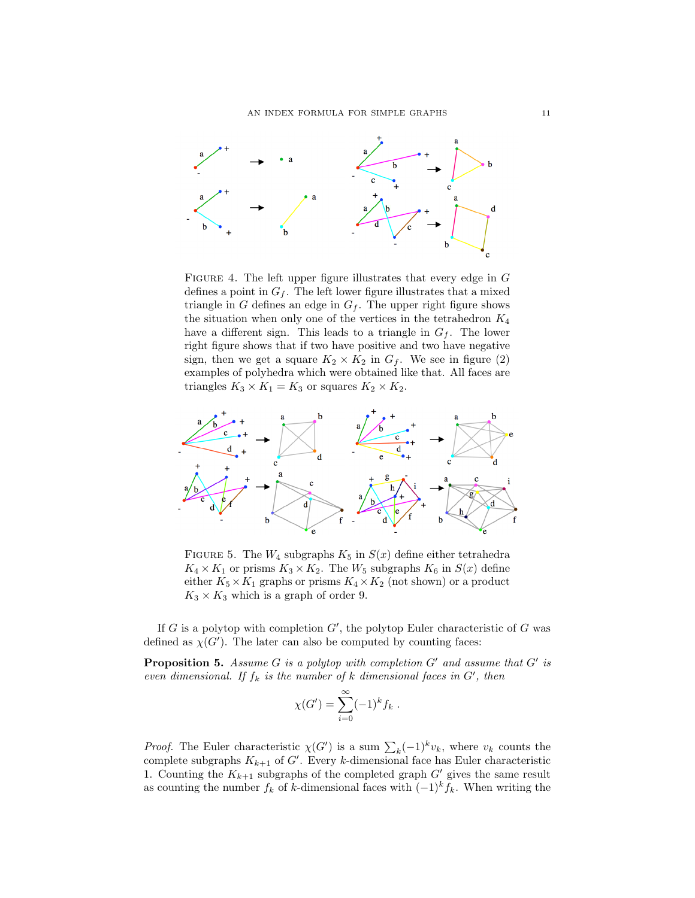

FIGURE 4. The left upper figure illustrates that every edge in  $G$ defines a point in  $G_f$ . The left lower figure illustrates that a mixed triangle in G defines an edge in  $G_f$ . The upper right figure shows the situation when only one of the vertices in the tetrahedron  $K_4$ have a different sign. This leads to a triangle in  $G_f$ . The lower right figure shows that if two have positive and two have negative sign, then we get a square  $K_2 \times K_2$  in  $G_f$ . We see in figure (2) examples of polyhedra which were obtained like that. All faces are triangles  $K_3 \times K_1 = K_3$  or squares  $K_2 \times K_2$ .



FIGURE 5. The  $W_4$  subgraphs  $K_5$  in  $S(x)$  define either tetrahedra  $K_4 \times K_1$  or prisms  $K_3 \times K_2$ . The  $W_5$  subgraphs  $K_6$  in  $S(x)$  define either  $K_5 \times K_1$  graphs or prisms  $K_4 \times K_2$  (not shown) or a product  $K_3 \times K_3$  which is a graph of order 9.

If G is a polytop with completion  $G'$ , the polytop Euler characteristic of G was defined as  $\chi(G')$ . The later can also be computed by counting faces:

**Proposition 5.** Assume  $G$  is a polytop with completion  $G'$  and assume that  $G'$  is even dimensional. If  $f_k$  is the number of k dimensional faces in  $G'$ , then

$$
\chi(G') = \sum_{i=0}^{\infty} (-1)^k f_k .
$$

*Proof.* The Euler characteristic  $\chi(G')$  is a sum  $\sum_{k}(-1)^{k}v_{k}$ , where  $v_{k}$  counts the complete subgraphs  $K_{k+1}$  of G'. Every k-dimensional face has Euler characteristic 1. Counting the  $K_{k+1}$  subgraphs of the completed graph  $G'$  gives the same result as counting the number  $f_k$  of k-dimensional faces with  $(-1)^k f_k$ . When writing the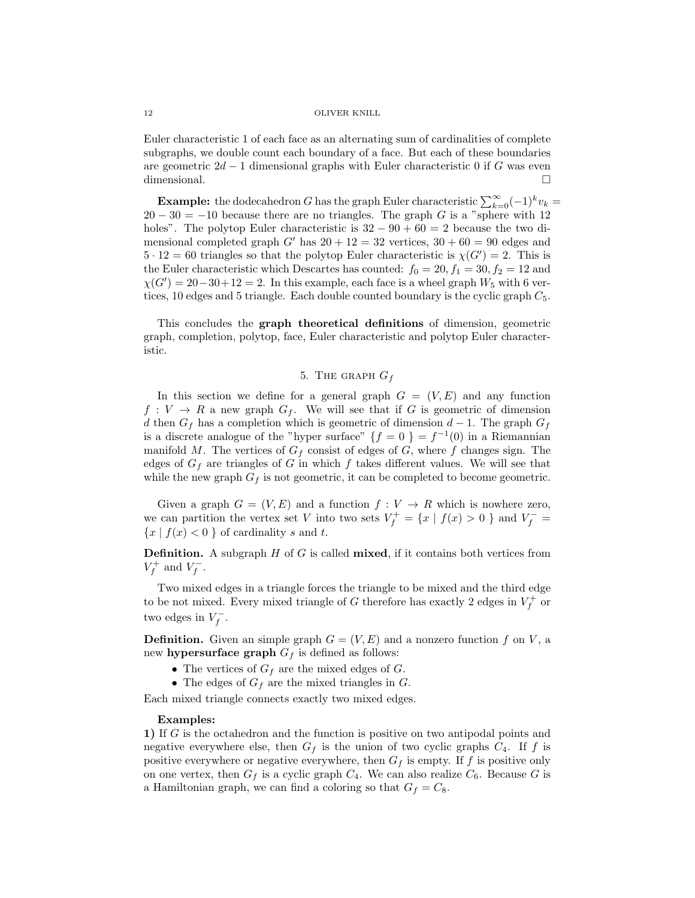Euler characteristic 1 of each face as an alternating sum of cardinalities of complete subgraphs, we double count each boundary of a face. But each of these boundaries are geometric  $2d-1$  dimensional graphs with Euler characteristic 0 if G was even dimensional.  $\Box$ 

**Example:** the dodecahedron G has the graph Euler characteristic  $\sum_{k=0}^{\infty}(-1)^{k}v_{k} =$  $20 - 30 = -10$  because there are no triangles. The graph G is a "sphere with 12" holes". The polytop Euler characteristic is  $32 - 90 + 60 = 2$  because the two dimensional completed graph G' has  $20 + 12 = 32$  vertices,  $30 + 60 = 90$  edges and  $5 \cdot 12 = 60$  triangles so that the polytop Euler characteristic is  $\chi(G') = 2$ . This is the Euler characteristic which Descartes has counted:  $f_0 = 20, f_1 = 30, f_2 = 12$  and  $\chi(G') = 20-30+12 = 2$ . In this example, each face is a wheel graph  $W_5$  with 6 vertices, 10 edges and 5 triangle. Each double counted boundary is the cyclic graph  $C_5$ .

This concludes the graph theoretical definitions of dimension, geometric graph, completion, polytop, face, Euler characteristic and polytop Euler characteristic.

# 5. THE GRAPH  $G_f$

In this section we define for a general graph  $G = (V, E)$  and any function  $f: V \to R$  a new graph  $G_f$ . We will see that if G is geometric of dimension d then  $G_f$  has a completion which is geometric of dimension  $d-1$ . The graph  $G_f$ is a discrete analogue of the "hyper surface"  $\{f = 0\} = f^{-1}(0)$  in a Riemannian manifold M. The vertices of  $G_f$  consist of edges of G, where f changes sign. The edges of  $G_f$  are triangles of G in which f takes different values. We will see that while the new graph  $G_f$  is not geometric, it can be completed to become geometric.

Given a graph  $G = (V, E)$  and a function  $f : V \to R$  which is nowhere zero, we can partition the vertex set V into two sets  $V_f^+ = \{x \mid f(x) > 0\}$  and  $V_f^- =$  ${x | f(x) < 0}$  of cardinality s and t.

**Definition.** A subgraph  $H$  of  $G$  is called **mixed**, if it contains both vertices from  $V_f^+$  and  $V_f^-$ .

Two mixed edges in a triangle forces the triangle to be mixed and the third edge to be not mixed. Every mixed triangle of G therefore has exactly 2 edges in  $V_f^+$  or two edges in  $V_f^-$ .

**Definition.** Given an simple graph  $G = (V, E)$  and a nonzero function f on V, a new **hypersurface graph**  $G_f$  is defined as follows:

- The vertices of  $G_f$  are the mixed edges of  $G$ .
- The edges of  $G_f$  are the mixed triangles in  $G$ .

Each mixed triangle connects exactly two mixed edges.

## Examples:

1) If G is the octahedron and the function is positive on two antipodal points and negative everywhere else, then  $G_f$  is the union of two cyclic graphs  $C_4$ . If f is positive everywhere or negative everywhere, then  $G_f$  is empty. If f is positive only on one vertex, then  $G_f$  is a cyclic graph  $C_4$ . We can also realize  $C_6$ . Because G is a Hamiltonian graph, we can find a coloring so that  $G_f = C_8$ .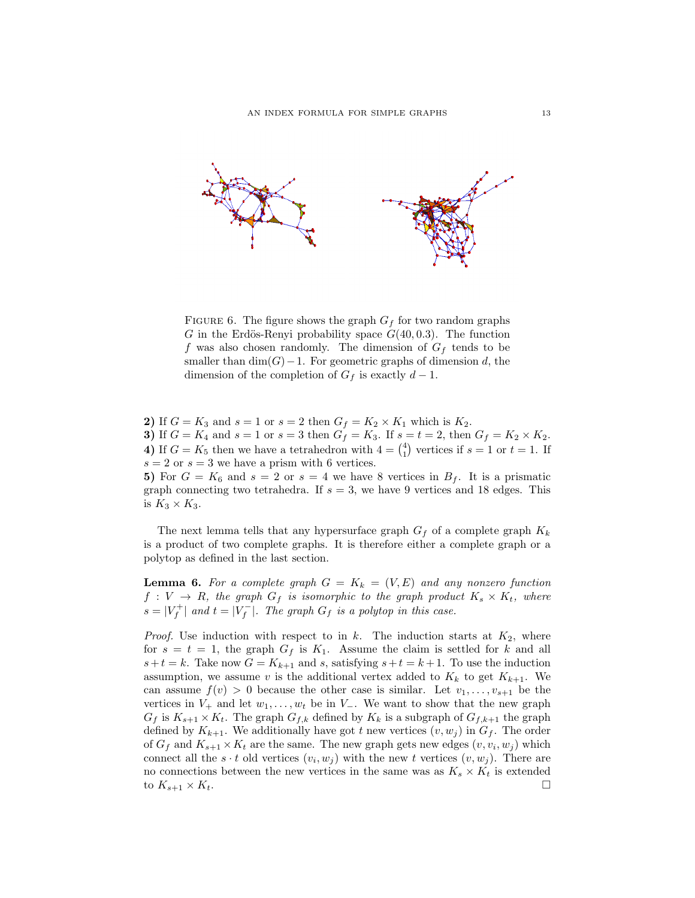

FIGURE 6. The figure shows the graph  $G_f$  for two random graphs G in the Erdös-Renyi probability space  $G(40, 0.3)$ . The function f was also chosen randomly. The dimension of  $G_f$  tends to be smaller than  $\dim(G)-1$ . For geometric graphs of dimension d, the dimension of the completion of  $G_f$  is exactly  $d-1$ .

2) If  $G = K_3$  and  $s = 1$  or  $s = 2$  then  $G_f = K_2 \times K_1$  which is  $K_2$ . 3) If  $G = K_4$  and  $s = 1$  or  $s = 3$  then  $G_f = K_3$ . If  $s = t = 2$ , then  $G_f = K_2 \times K_2$ . 4) If  $G = K_5$  then we have a tetrahedron with  $4 = \binom{4}{1}$  vertices if  $s = 1$  or  $t = 1$ . If  $s = 2$  or  $s = 3$  we have a prism with 6 vertices.

5) For  $G = K_6$  and  $s = 2$  or  $s = 4$  we have 8 vertices in  $B_f$ . It is a prismatic graph connecting two tetrahedra. If  $s = 3$ , we have 9 vertices and 18 edges. This is  $K_3 \times K_3$ .

The next lemma tells that any hypersurface graph  $G_f$  of a complete graph  $K_k$ is a product of two complete graphs. It is therefore either a complete graph or a polytop as defined in the last section.

**Lemma 6.** For a complete graph  $G = K_k = (V, E)$  and any nonzero function  $f: V \to R$ , the graph  $G_f$  is isomorphic to the graph product  $K_s \times K_t$ , where  $s = |V_f^+|$  and  $t = |V_f^-|$ . The graph  $G_f$  is a polytop in this case.

*Proof.* Use induction with respect to in  $k$ . The induction starts at  $K_2$ , where for  $s = t = 1$ , the graph  $G_f$  is  $K_1$ . Assume the claim is settled for k and all  $s+t = k$ . Take now  $G = K_{k+1}$  and s, satisfying  $s+t = k+1$ . To use the induction assumption, we assume v is the additional vertex added to  $K_k$  to get  $K_{k+1}$ . We can assume  $f(v) > 0$  because the other case is similar. Let  $v_1, \ldots, v_{s+1}$  be the vertices in  $V_+$  and let  $w_1, \ldots, w_t$  be in  $V_-\$ . We want to show that the new graph  $G_f$  is  $K_{s+1} \times K_t$ . The graph  $G_{f,k}$  defined by  $K_k$  is a subgraph of  $G_{f,k+1}$  the graph defined by  $K_{k+1}$ . We additionally have got t new vertices  $(v, w_j)$  in  $G_f$ . The order of  $G_f$  and  $K_{s+1} \times K_t$  are the same. The new graph gets new edges  $(v, v_i, w_j)$  which connect all the  $s \cdot t$  old vertices  $(v_i, w_j)$  with the new t vertices  $(v, w_j)$ . There are no connections between the new vertices in the same was as  $K_s \times K_t$  is extended to  $K_{s+1} \times K_t$ .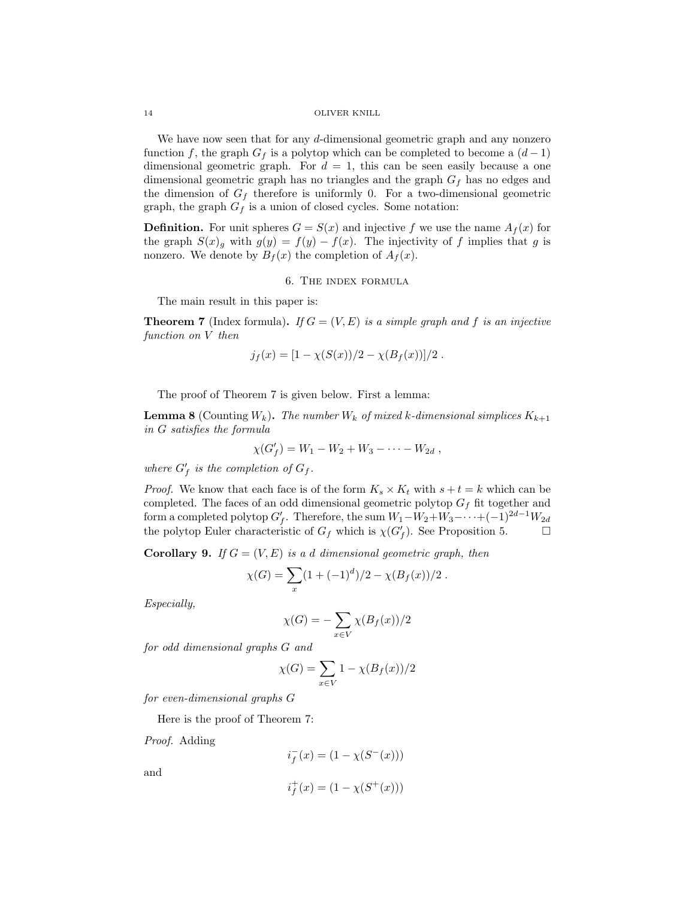We have now seen that for any d-dimensional geometric graph and any nonzero function f, the graph  $G_f$  is a polytop which can be completed to become a  $(d-1)$ dimensional geometric graph. For  $d = 1$ , this can be seen easily because a one dimensional geometric graph has no triangles and the graph  $G_f$  has no edges and the dimension of  $G_f$  therefore is uniformly 0. For a two-dimensional geometric graph, the graph  $G_f$  is a union of closed cycles. Some notation:

**Definition.** For unit spheres  $G = S(x)$  and injective f we use the name  $A_f(x)$  for the graph  $S(x)_{g}$  with  $g(y) = f(y) - f(x)$ . The injectivity of f implies that g is nonzero. We denote by  $B_f(x)$  the completion of  $A_f(x)$ .

6. The index formula

The main result in this paper is:

**Theorem 7** (Index formula). If  $G = (V, E)$  is a simple graph and f is an injective function on V then

$$
j_f(x) = [1 - \chi(S(x))/2 - \chi(B_f(x))]/2.
$$

The proof of Theorem 7 is given below. First a lemma:

**Lemma 8** (Counting  $W_k$ ). The number  $W_k$  of mixed k-dimensional simplices  $K_{k+1}$ in G satisfies the formula

$$
\chi(G'_f) = W_1 - W_2 + W_3 - \cdots - W_{2d} ,
$$

where  $G'_f$  is the completion of  $G_f$ .

*Proof.* We know that each face is of the form  $K_s \times K_t$  with  $s + t = k$  which can be completed. The faces of an odd dimensional geometric polytop  $G_f$  fit together and form a completed polytop  $G'_f$ . Therefore, the sum  $W_1-W_2+W_3-\cdots+(-1)^{2d-1}W_{2d}$ the polytop Euler characteristic of  $G_f$  which is  $\chi(G'_f)$ . See Proposition 5.

**Corollary 9.** If  $G = (V, E)$  is a d dimensional geometric graph, then

$$
\chi(G) = \sum_{x} (1 + (-1)^{d})/2 - \chi(B_f(x))/2.
$$

Especially,

$$
\chi(G) = -\sum_{x \in V} \chi(B_f(x))/2
$$

for odd dimensional graphs G and

$$
\chi(G) = \sum_{x \in V} 1 - \chi(B_f(x))/2
$$

for even-dimensional graphs G

Here is the proof of Theorem 7:

Proof. Adding

$$
i_f^-(x) = (1 - \chi(S^-(x)))
$$

and

$$
i_f^+(x) = (1 - \chi(S^+(x)))
$$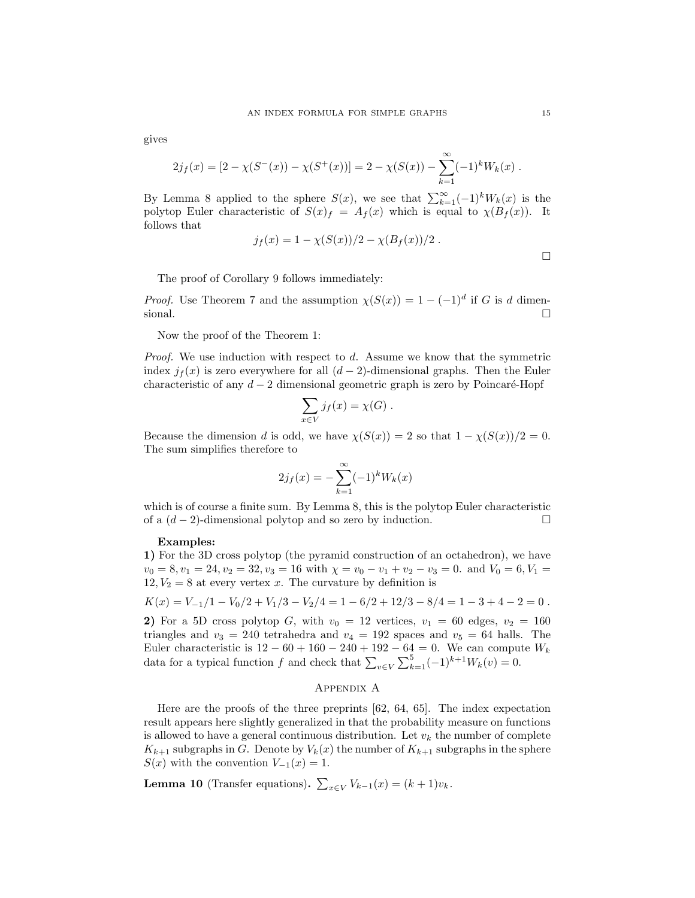gives

$$
2j_f(x) = [2 - \chi(S^-(x)) - \chi(S^+(x))] = 2 - \chi(S(x)) - \sum_{k=1}^{\infty} (-1)^k W_k(x).
$$

By Lemma 8 applied to the sphere  $S(x)$ , we see that  $\sum_{k=1}^{\infty}(-1)^kW_k(x)$  is the polytop Euler characteristic of  $S(x)_{f} = A_{f}(x)$  which is equal to  $\chi(B_{f}(x))$ . It follows that

$$
j_f(x) = 1 - \chi(S(x))/2 - \chi(B_f(x))/2.
$$

The proof of Corollary 9 follows immediately:

*Proof.* Use Theorem 7 and the assumption  $\chi(S(x)) = 1 - (-1)^d$  if G is d dimensional.  $\Box$ 

Now the proof of the Theorem 1:

Proof. We use induction with respect to d. Assume we know that the symmetric index  $j_f(x)$  is zero everywhere for all  $(d-2)$ -dimensional graphs. Then the Euler characteristic of any  $d-2$  dimensional geometric graph is zero by Poincaré-Hopf

$$
\sum_{x \in V} j_f(x) = \chi(G) .
$$

Because the dimension d is odd, we have  $\chi(S(x)) = 2$  so that  $1 - \chi(S(x))/2 = 0$ . The sum simplifies therefore to

$$
2j_f(x) = -\sum_{k=1}^{\infty} (-1)^k W_k(x)
$$

which is of course a finite sum. By Lemma 8, this is the polytop Euler characteristic of a  $(d-2)$ -dimensional polytop and so zero by induction.  $□$ 

## Examples:

1) For the 3D cross polytop (the pyramid construction of an octahedron), we have  $v_0 = 8, v_1 = 24, v_2 = 32, v_3 = 16$  with  $\chi = v_0 - v_1 + v_2 - v_3 = 0$ . and  $V_0 = 6, V_1 =$  $12, V_2 = 8$  at every vertex x. The curvature by definition is

$$
K(x) = V_{-1}/1 - V_0/2 + V_1/3 - V_2/4 = 1 - 6/2 + 12/3 - 8/4 = 1 - 3 + 4 - 2 = 0.
$$

2) For a 5D cross polytop G, with  $v_0 = 12$  vertices,  $v_1 = 60$  edges,  $v_2 = 160$ triangles and  $v_3 = 240$  tetrahedra and  $v_4 = 192$  spaces and  $v_5 = 64$  halls. The Euler characteristic is  $12 - 60 + 160 - 240 + 192 - 64 = 0$ . We can compute  $W_k$ data for a typical function f and check that  $\sum_{v \in V} \sum_{k=1}^{5} (-1)^{k+1} W_k(v) = 0$ .

## Appendix A

Here are the proofs of the three preprints [62, 64, 65]. The index expectation result appears here slightly generalized in that the probability measure on functions is allowed to have a general continuous distribution. Let  $v_k$  the number of complete  $K_{k+1}$  subgraphs in G. Denote by  $V_k(x)$  the number of  $K_{k+1}$  subgraphs in the sphere  $S(x)$  with the convention  $V_{-1}(x) = 1$ .

**Lemma 10** (Transfer equations).  $\sum_{x \in V} V_{k-1}(x) = (k+1)v_k$ .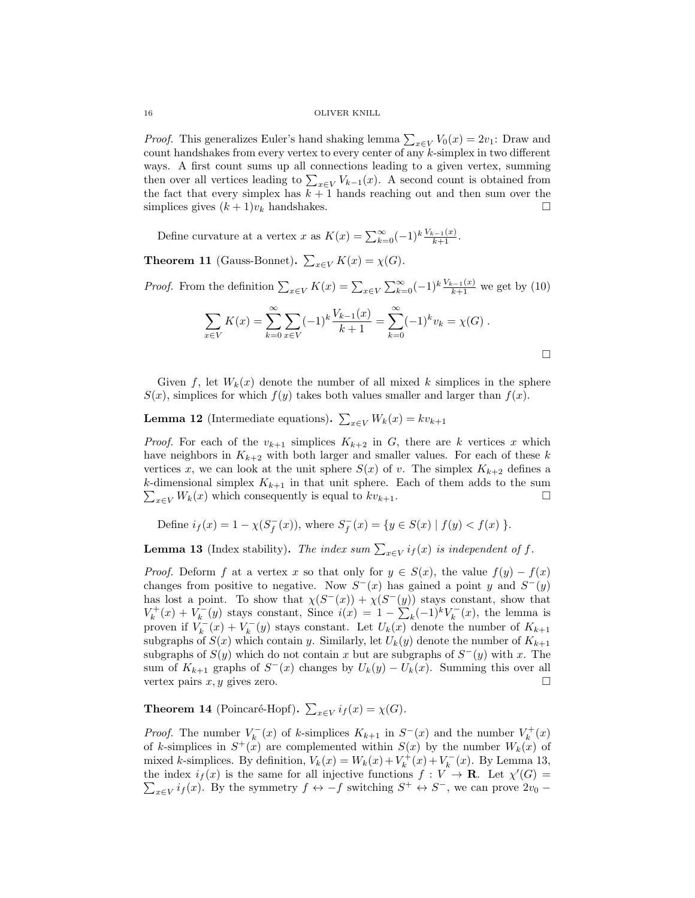*Proof.* This generalizes Euler's hand shaking lemma  $\sum_{x \in V} V_0(x) = 2v_1$ : Draw and count handshakes from every vertex to every center of any k-simplex in two different ways. A first count sums up all connections leading to a given vertex, summing then over all vertices leading to  $\sum_{x \in V} V_{k-1}(x)$ . A second count is obtained from the fact that every simplex has  $k + 1$  hands reaching out and then sum over the simplices gives  $(k + 1)v_k$  handshakes.

Define curvature at a vertex x as  $K(x) = \sum_{k=0}^{\infty} (-1)^k \frac{V_{k-1}(x)}{k+1}$ .

**Theorem 11** (Gauss-Bonnet).  $\sum_{x \in V} K(x) = \chi(G)$ .

*Proof.* From the definition  $\sum_{x \in V} K(x) = \sum_{x \in V} \sum_{k=0}^{\infty} (-1)^k \frac{V_{k-1}(x)}{k+1}$  we get by (10)

$$
\sum_{x \in V} K(x) = \sum_{k=0}^{\infty} \sum_{x \in V} (-1)^k \frac{V_{k-1}(x)}{k+1} = \sum_{k=0}^{\infty} (-1)^k v_k = \chi(G) .
$$

Given f, let  $W_k(x)$  denote the number of all mixed k simplices in the sphere  $S(x)$ , simplices for which  $f(y)$  takes both values smaller and larger than  $f(x)$ .

**Lemma 12** (Intermediate equations).  $\sum_{x \in V} W_k(x) = k v_{k+1}$ 

*Proof.* For each of the  $v_{k+1}$  simplices  $K_{k+2}$  in G, there are k vertices x which have neighbors in  $K_{k+2}$  with both larger and smaller values. For each of these k vertices x, we can look at the unit sphere  $S(x)$  of v. The simplex  $K_{k+2}$  defines a k-dimensional simplex  $K_{k+1}$  in that unit sphere. Each of them adds to the sum  $\sum_{x \in V} W_k(x)$  which consequently is equal to  $kv_{k+1}$ .

Define 
$$
i_f(x) = 1 - \chi(S_f^-(x))
$$
, where  $S_f^-(x) = \{y \in S(x) | f(y) < f(x) \}$ .

**Lemma 13** (Index stability). The index sum  $\sum_{x \in V} i_f(x)$  is independent of f.

*Proof.* Deform f at a vertex x so that only for  $y \in S(x)$ , the value  $f(y) - f(x)$ changes from positive to negative. Now  $S^-(x)$  has gained a point y and  $S^-(y)$ has lost a point. To show that  $\chi(S^{-}(x)) + \chi(S^{-}(y))$  stays constant, show that  $V_k^+(x) + V_k^-(y)$  stays constant, Since  $i(x) = 1 - \sum_k (-1)^k V_k^-(x)$ , the lemma is proven if  $V_k^-(x) + V_k^-(y)$  stays constant. Let  $U_k(x)$  denote the number of  $K_{k+1}$ subgraphs of  $S(x)$  which contain y. Similarly, let  $U_k(y)$  denote the number of  $K_{k+1}$ subgraphs of  $S(y)$  which do not contain x but are subgraphs of  $S^-(y)$  with x. The sum of  $K_{k+1}$  graphs of  $S^-(x)$  changes by  $U_k(y) - U_k(x)$ . Summing this over all vertex pairs  $x, y$  gives zero.

**Theorem 14** (Poincaré-Hopf).  $\sum_{x \in V} i_f(x) = \chi(G)$ .

*Proof.* The number  $V_k^-(x)$  of k-simplices  $K_{k+1}$  in  $S^-(x)$  and the number  $V_k^+(x)$ of k-simplices in  $S^+(x)$  are complemented within  $S(x)$  by the number  $W_k(x)$  of mixed k-simplices. By definition,  $V_k(x) = W_k(x) + V_k^+(x) + V_k^-(x)$ . By Lemma 13, the index  $i_f(x)$  is the same for all injective functions  $f: V \to \mathbf{R}$ . Let  $\chi'(G) =$  $\sum_{x \in V} i_f(x)$ . By the symmetry  $f \leftrightarrow -f$  switching  $S^+ \leftrightarrow S^-$ , we can prove  $2v_0$  –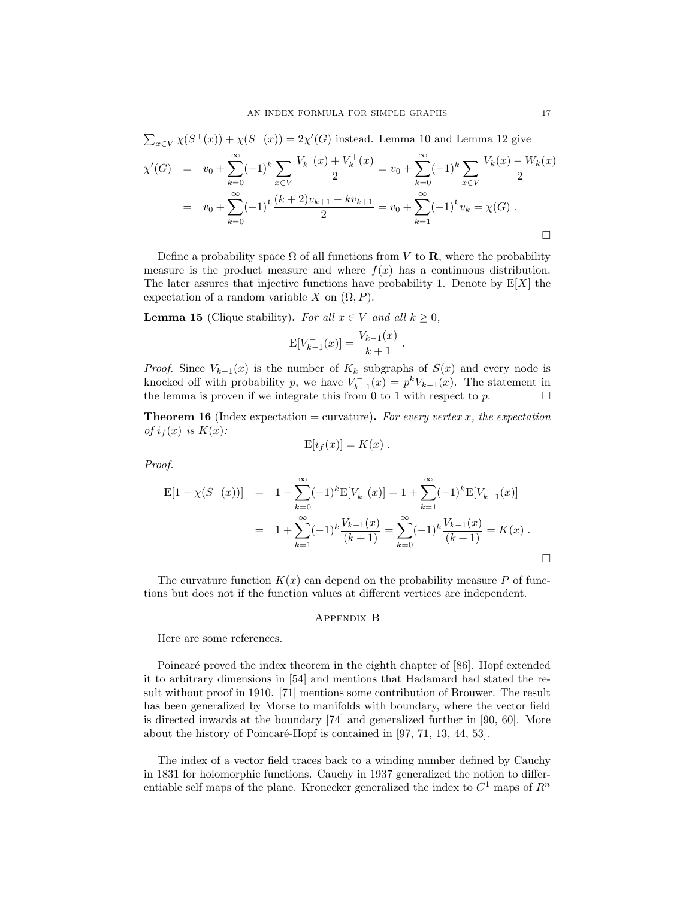$$
\sum_{x \in V} \chi(S^+(x)) + \chi(S^-(x)) = 2\chi'(G) \text{ instead. Lemma 10 and Lemma 12 give}
$$
\n
$$
\chi'(G) = v_0 + \sum_{k=0}^{\infty} (-1)^k \sum_{x \in V} \frac{V_k^-(x) + V_k^+(x)}{2} = v_0 + \sum_{k=0}^{\infty} (-1)^k \sum_{x \in V} \frac{V_k(x) - W_k(x)}{2}
$$
\n
$$
= v_0 + \sum_{k=0}^{\infty} (-1)^k \frac{(k+2)v_{k+1} - kv_{k+1}}{2} = v_0 + \sum_{k=1}^{\infty} (-1)^k v_k = \chi(G) .
$$

Define a probability space  $\Omega$  of all functions from V to **R**, where the probability measure is the product measure and where  $f(x)$  has a continuous distribution. The later assures that injective functions have probability 1. Denote by  $E[X]$  the expectation of a random variable X on  $(\Omega, P)$ .

**Lemma 15** (Clique stability). For all  $x \in V$  and all  $k \geq 0$ ,

$$
E[V_{k-1}^{-}(x)] = \frac{V_{k-1}(x)}{k+1}.
$$

*Proof.* Since  $V_{k-1}(x)$  is the number of  $K_k$  subgraphs of  $S(x)$  and every node is knocked off with probability p, we have  $V_{k-1}^{-}(x) = p^k V_{k-1}(x)$ . The statement in the lemma is proven if we integrate this from 0 to 1 with respect to  $p$ .

**Theorem 16** (Index expectation = curvature). For every vertex x, the expectation of  $i_f(x)$  is  $K(x)$ :

$$
E[i_f(x)] = K(x) .
$$

Proof.

$$
E[1 - \chi(S^-(x))] = 1 - \sum_{k=0}^{\infty} (-1)^k E[V_k^-(x)] = 1 + \sum_{k=1}^{\infty} (-1)^k E[V_{k-1}^-(x)]
$$
  
= 
$$
1 + \sum_{k=1}^{\infty} (-1)^k \frac{V_{k-1}(x)}{(k+1)} = \sum_{k=0}^{\infty} (-1)^k \frac{V_{k-1}(x)}{(k+1)} = K(x).
$$

The curvature function  $K(x)$  can depend on the probability measure P of functions but does not if the function values at different vertices are independent.

## Appendix B

Here are some references.

Poincaré proved the index theorem in the eighth chapter of [86]. Hopf extended it to arbitrary dimensions in [54] and mentions that Hadamard had stated the result without proof in 1910. [71] mentions some contribution of Brouwer. The result has been generalized by Morse to manifolds with boundary, where the vector field is directed inwards at the boundary [74] and generalized further in [90, 60]. More about the history of Poincaré-Hopf is contained in [97, 71, 13, 44, 53].

The index of a vector field traces back to a winding number defined by Cauchy in 1831 for holomorphic functions. Cauchy in 1937 generalized the notion to differentiable self maps of the plane. Kronecker generalized the index to  $C^1$  maps of  $R^n$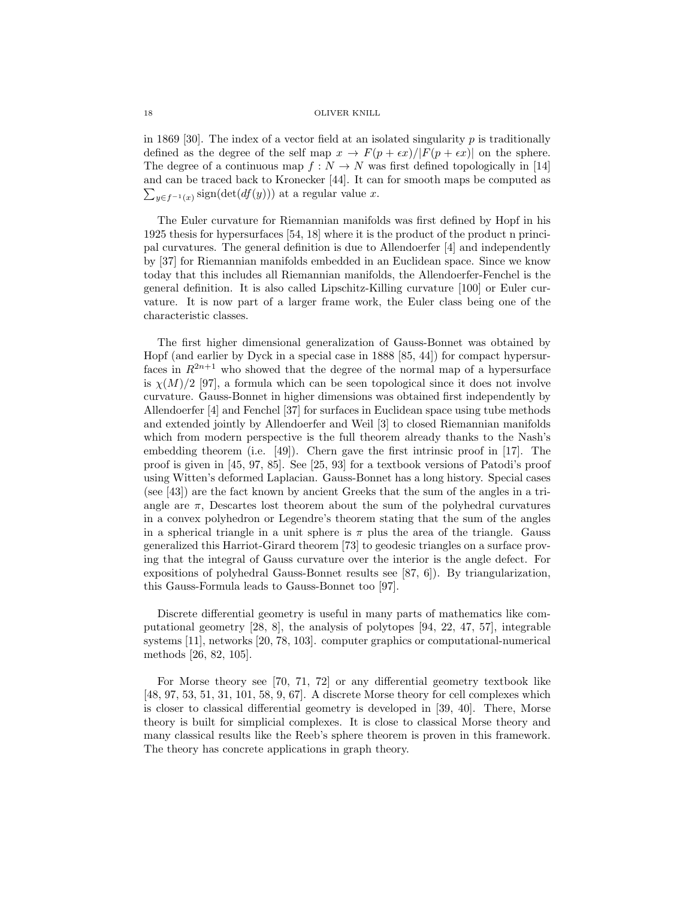in 1869 [30]. The index of a vector field at an isolated singularity  $p$  is traditionally defined as the degree of the self map  $x \to F(p + \epsilon x)/|F(p + \epsilon x)|$  on the sphere. The degree of a continuous map  $f: N \to N$  was first defined topologically in [14] and can be traced back to Kronecker [44]. It can for smooth maps be computed as  $\sum_{y \in f^{-1}(x)} sign(det(df(y)))$  at a regular value x.

The Euler curvature for Riemannian manifolds was first defined by Hopf in his 1925 thesis for hypersurfaces [54, 18] where it is the product of the product n principal curvatures. The general definition is due to Allendoerfer [4] and independently by [37] for Riemannian manifolds embedded in an Euclidean space. Since we know today that this includes all Riemannian manifolds, the Allendoerfer-Fenchel is the general definition. It is also called Lipschitz-Killing curvature [100] or Euler curvature. It is now part of a larger frame work, the Euler class being one of the characteristic classes.

The first higher dimensional generalization of Gauss-Bonnet was obtained by Hopf (and earlier by Dyck in a special case in 1888 [85, 44]) for compact hypersurfaces in  $R^{2n+1}$  who showed that the degree of the normal map of a hypersurface is  $\chi(M)/2$  [97], a formula which can be seen topological since it does not involve curvature. Gauss-Bonnet in higher dimensions was obtained first independently by Allendoerfer [4] and Fenchel [37] for surfaces in Euclidean space using tube methods and extended jointly by Allendoerfer and Weil [3] to closed Riemannian manifolds which from modern perspective is the full theorem already thanks to the Nash's embedding theorem (i.e. [49]). Chern gave the first intrinsic proof in [17]. The proof is given in [45, 97, 85]. See [25, 93] for a textbook versions of Patodi's proof using Witten's deformed Laplacian. Gauss-Bonnet has a long history. Special cases (see [43]) are the fact known by ancient Greeks that the sum of the angles in a triangle are  $\pi$ , Descartes lost theorem about the sum of the polyhedral curvatures in a convex polyhedron or Legendre's theorem stating that the sum of the angles in a spherical triangle in a unit sphere is  $\pi$  plus the area of the triangle. Gauss generalized this Harriot-Girard theorem [73] to geodesic triangles on a surface proving that the integral of Gauss curvature over the interior is the angle defect. For expositions of polyhedral Gauss-Bonnet results see [87, 6]). By triangularization, this Gauss-Formula leads to Gauss-Bonnet too [97].

Discrete differential geometry is useful in many parts of mathematics like computational geometry [28, 8], the analysis of polytopes [94, 22, 47, 57], integrable systems [11], networks [20, 78, 103]. computer graphics or computational-numerical methods [26, 82, 105].

For Morse theory see [70, 71, 72] or any differential geometry textbook like [48, 97, 53, 51, 31, 101, 58, 9, 67]. A discrete Morse theory for cell complexes which is closer to classical differential geometry is developed in [39, 40]. There, Morse theory is built for simplicial complexes. It is close to classical Morse theory and many classical results like the Reeb's sphere theorem is proven in this framework. The theory has concrete applications in graph theory.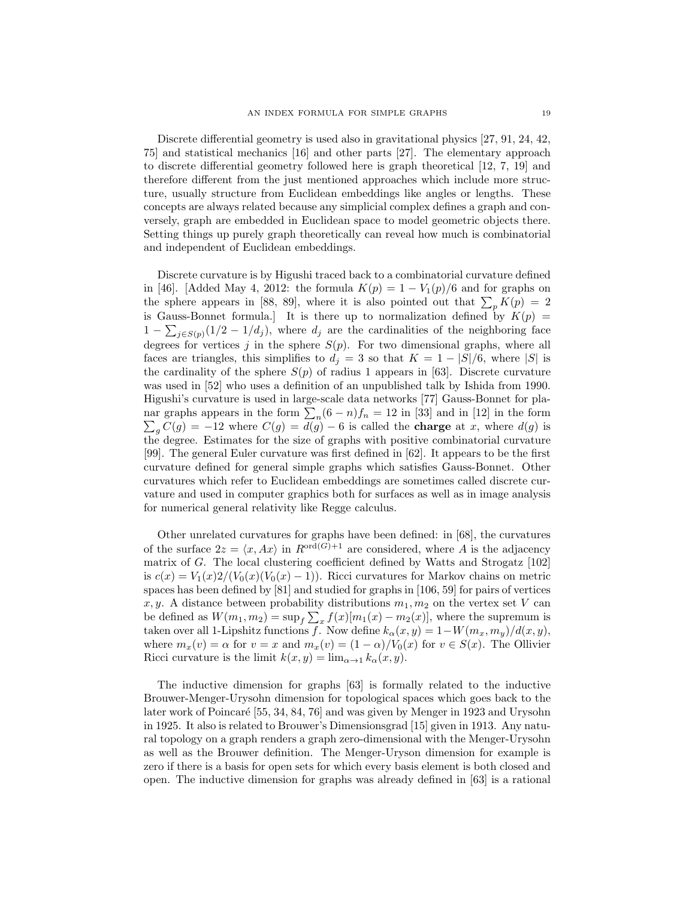Discrete differential geometry is used also in gravitational physics [27, 91, 24, 42, 75] and statistical mechanics [16] and other parts [27]. The elementary approach to discrete differential geometry followed here is graph theoretical [12, 7, 19] and therefore different from the just mentioned approaches which include more structure, usually structure from Euclidean embeddings like angles or lengths. These concepts are always related because any simplicial complex defines a graph and conversely, graph are embedded in Euclidean space to model geometric objects there. Setting things up purely graph theoretically can reveal how much is combinatorial and independent of Euclidean embeddings.

Discrete curvature is by Higushi traced back to a combinatorial curvature defined in [46]. [Added May 4, 2012: the formula  $K(p) = 1 - V_1(p)/6$  and for graphs on the sphere appears in [88, 89], where it is also pointed out that  $\sum_{p} K(p) = 2$ is Gauss-Bonnet formula.] It is there up to normalization defined by  $K(p)$  =  $1 - \sum_{j \in S(p)} (1/2 - 1/d_j)$ , where  $d_j$  are the cardinalities of the neighboring face degrees for vertices j in the sphere  $S(p)$ . For two dimensional graphs, where all faces are triangles, this simplifies to  $d_j = 3$  so that  $K = 1 - |S|/6$ , where |S| is the cardinality of the sphere  $S(p)$  of radius 1 appears in [63]. Discrete curvature was used in [52] who uses a definition of an unpublished talk by Ishida from 1990. Higushi's curvature is used in large-scale data networks [77] Gauss-Bonnet for planar graphs appears in the form  $\sum_{n}(6-n)f_n = 12$  in [33] and in [12] in the form  $\sum_{g} C(g) = -12$  where  $C(g) = d(g) - 6$  is called the **charge** at x, where  $d(g)$  is the degree. Estimates for the size of graphs with positive combinatorial curvature [99]. The general Euler curvature was first defined in [62]. It appears to be the first curvature defined for general simple graphs which satisfies Gauss-Bonnet. Other curvatures which refer to Euclidean embeddings are sometimes called discrete curvature and used in computer graphics both for surfaces as well as in image analysis for numerical general relativity like Regge calculus.

Other unrelated curvatures for graphs have been defined: in [68], the curvatures of the surface  $2z = \langle x, Ax \rangle$  in  $R^{\text{ord}(G)+1}$  are considered, where A is the adjacency matrix of G. The local clustering coefficient defined by Watts and Strogatz [102] is  $c(x) = V_1(x)2/(V_0(x)(V_0(x) - 1))$ . Ricci curvatures for Markov chains on metric spaces has been defined by [81] and studied for graphs in [106, 59] for pairs of vertices x, y. A distance between probability distributions  $m_1, m_2$  on the vertex set V can be defined as  $W(m_1, m_2) = \sup_f \sum_x f(x)[m_1(x) - m_2(x)]$ , where the supremum is taken over all 1-Lipshitz functions f. Now define  $k_{\alpha}(x, y) = 1-W(m_x, m_y)/d(x, y)$ , where  $m_x(v) = \alpha$  for  $v = x$  and  $m_x(v) = (1 - \alpha)/V_0(x)$  for  $v \in S(x)$ . The Ollivier Ricci curvature is the limit  $k(x, y) = \lim_{\alpha \to 1} k_{\alpha}(x, y)$ .

The inductive dimension for graphs [63] is formally related to the inductive Brouwer-Menger-Urysohn dimension for topological spaces which goes back to the later work of Poincaré [55, 34, 84, 76] and was given by Menger in 1923 and Urysohn in 1925. It also is related to Brouwer's Dimensionsgrad [15] given in 1913. Any natural topology on a graph renders a graph zero-dimensional with the Menger-Urysohn as well as the Brouwer definition. The Menger-Uryson dimension for example is zero if there is a basis for open sets for which every basis element is both closed and open. The inductive dimension for graphs was already defined in [63] is a rational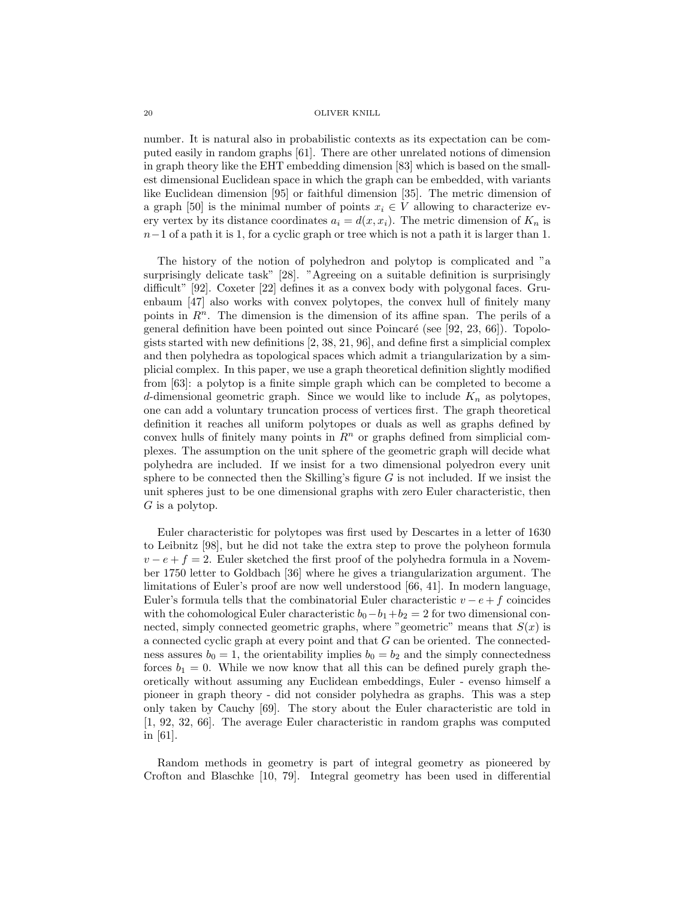number. It is natural also in probabilistic contexts as its expectation can be computed easily in random graphs [61]. There are other unrelated notions of dimension in graph theory like the EHT embedding dimension [83] which is based on the smallest dimensional Euclidean space in which the graph can be embedded, with variants like Euclidean dimension [95] or faithful dimension [35]. The metric dimension of a graph [50] is the minimal number of points  $x_i \in V$  allowing to characterize every vertex by its distance coordinates  $a_i = d(x, x_i)$ . The metric dimension of  $K_n$  is  $n-1$  of a path it is 1, for a cyclic graph or tree which is not a path it is larger than 1.

The history of the notion of polyhedron and polytop is complicated and "a surprisingly delicate task" [28]. "Agreeing on a suitable definition is surprisingly difficult" [92]. Coxeter [22] defines it as a convex body with polygonal faces. Gruenbaum [47] also works with convex polytopes, the convex hull of finitely many points in  $\mathbb{R}^n$ . The dimension is the dimension of its affine span. The perils of a general definition have been pointed out since Poincaré (see [92,  $23, 66$ ]). Topologists started with new definitions [2, 38, 21, 96], and define first a simplicial complex and then polyhedra as topological spaces which admit a triangularization by a simplicial complex. In this paper, we use a graph theoretical definition slightly modified from [63]: a polytop is a finite simple graph which can be completed to become a d-dimensional geometric graph. Since we would like to include  $K_n$  as polytopes, one can add a voluntary truncation process of vertices first. The graph theoretical definition it reaches all uniform polytopes or duals as well as graphs defined by convex hulls of finitely many points in  $R<sup>n</sup>$  or graphs defined from simplicial complexes. The assumption on the unit sphere of the geometric graph will decide what polyhedra are included. If we insist for a two dimensional polyedron every unit sphere to be connected then the Skilling's figure  $G$  is not included. If we insist the unit spheres just to be one dimensional graphs with zero Euler characteristic, then  $G$  is a polytop.

Euler characteristic for polytopes was first used by Descartes in a letter of 1630 to Leibnitz [98], but he did not take the extra step to prove the polyheon formula  $v - e + f = 2$ . Euler sketched the first proof of the polyhedra formula in a November 1750 letter to Goldbach [36] where he gives a triangularization argument. The limitations of Euler's proof are now well understood [66, 41]. In modern language, Euler's formula tells that the combinatorial Euler characteristic  $v - e + f$  coincides with the cohomological Euler characteristic  $b_0-b_1+b_2=2$  for two dimensional connected, simply connected geometric graphs, where "geometric" means that  $S(x)$  is a connected cyclic graph at every point and that G can be oriented. The connectedness assures  $b_0 = 1$ , the orientability implies  $b_0 = b_2$  and the simply connectedness forces  $b_1 = 0$ . While we now know that all this can be defined purely graph theoretically without assuming any Euclidean embeddings, Euler - evenso himself a pioneer in graph theory - did not consider polyhedra as graphs. This was a step only taken by Cauchy [69]. The story about the Euler characteristic are told in [1, 92, 32, 66]. The average Euler characteristic in random graphs was computed in [61].

Random methods in geometry is part of integral geometry as pioneered by Crofton and Blaschke [10, 79]. Integral geometry has been used in differential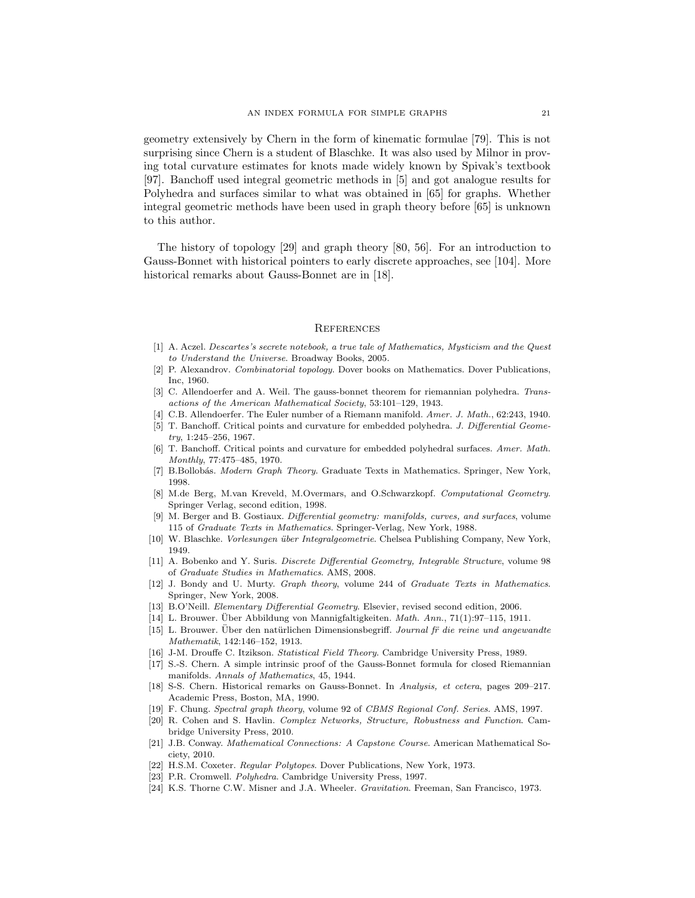geometry extensively by Chern in the form of kinematic formulae [79]. This is not surprising since Chern is a student of Blaschke. It was also used by Milnor in proving total curvature estimates for knots made widely known by Spivak's textbook [97]. Banchoff used integral geometric methods in [5] and got analogue results for Polyhedra and surfaces similar to what was obtained in [65] for graphs. Whether integral geometric methods have been used in graph theory before [65] is unknown to this author.

The history of topology [29] and graph theory [80, 56]. For an introduction to Gauss-Bonnet with historical pointers to early discrete approaches, see [104]. More historical remarks about Gauss-Bonnet are in [18].

#### **REFERENCES**

- [1] A. Aczel. Descartes's secrete notebook, a true tale of Mathematics, Mysticism and the Quest to Understand the Universe. Broadway Books, 2005.
- [2] P. Alexandrov. Combinatorial topology. Dover books on Mathematics. Dover Publications, Inc, 1960.
- [3] C. Allendoerfer and A. Weil. The gauss-bonnet theorem for riemannian polyhedra. Transactions of the American Mathematical Society, 53:101–129, 1943.
- [4] C.B. Allendoerfer. The Euler number of a Riemann manifold. Amer. J. Math., 62:243, 1940.
- [5] T. Banchoff. Critical points and curvature for embedded polyhedra. J. Differential Geometry, 1:245–256, 1967.
- [6] T. Banchoff. Critical points and curvature for embedded polyhedral surfaces. Amer. Math. Monthly, 77:475–485, 1970.
- [7] B.Bollobás. Modern Graph Theory. Graduate Texts in Mathematics. Springer, New York, 1998.
- [8] M.de Berg, M.van Kreveld, M.Overmars, and O.Schwarzkopf. Computational Geometry. Springer Verlag, second edition, 1998.
- [9] M. Berger and B. Gostiaux. Differential geometry: manifolds, curves, and surfaces, volume 115 of Graduate Texts in Mathematics. Springer-Verlag, New York, 1988.
- [10] W. Blaschke. *Vorlesungen über Integralgeometrie*. Chelsea Publishing Company, New York, 1949.
- [11] A. Bobenko and Y. Suris. Discrete Differential Geometry, Integrable Structure, volume 98 of Graduate Studies in Mathematics. AMS, 2008.
- [12] J. Bondy and U. Murty. Graph theory, volume 244 of Graduate Texts in Mathematics. Springer, New York, 2008.
- [13] B.O'Neill. Elementary Differential Geometry. Elsevier, revised second edition, 2006.
- [14] L. Brouwer. Uber Abbildung von Mannigfaltigkeiten.  $Math. Ann.$ , 71(1):97–115, 1911.
- [15] L. Brouwer. Über den natürlichen Dimensionsbegriff. Journal fr die reine und angewandte Mathematik, 142:146–152, 1913.
- [16] J-M. Drouffe C. Itzikson. Statistical Field Theory. Cambridge University Press, 1989.
- [17] S.-S. Chern. A simple intrinsic proof of the Gauss-Bonnet formula for closed Riemannian manifolds. Annals of Mathematics, 45, 1944.
- [18] S-S. Chern. Historical remarks on Gauss-Bonnet. In Analysis, et cetera, pages 209–217. Academic Press, Boston, MA, 1990.
- [19] F. Chung. Spectral graph theory, volume 92 of CBMS Regional Conf. Series. AMS, 1997.
- [20] R. Cohen and S. Havlin. Complex Networks, Structure, Robustness and Function. Cambridge University Press, 2010.
- [21] J.B. Conway. Mathematical Connections: A Capstone Course. American Mathematical Society, 2010.
- [22] H.S.M. Coxeter. Regular Polytopes. Dover Publications, New York, 1973.
- [23] P.R. Cromwell. Polyhedra. Cambridge University Press, 1997.
- [24] K.S. Thorne C.W. Misner and J.A. Wheeler. Gravitation. Freeman, San Francisco, 1973.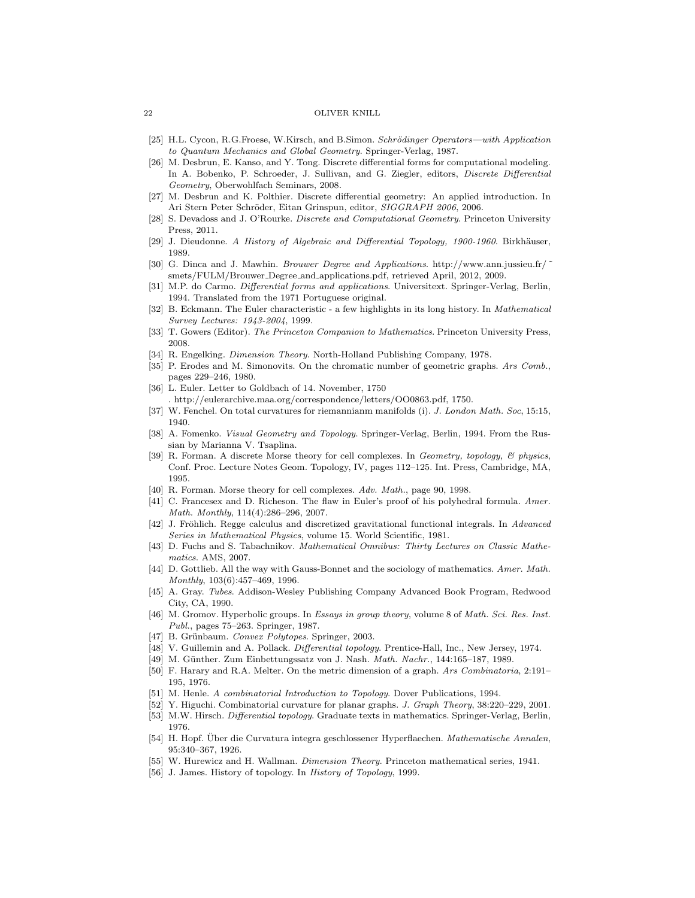- [25] H.L. Cycon, R.G.Froese, W.Kirsch, and B.Simon. Schrödinger Operators—with Application to Quantum Mechanics and Global Geometry. Springer-Verlag, 1987.
- [26] M. Desbrun, E. Kanso, and Y. Tong. Discrete differential forms for computational modeling. In A. Bobenko, P. Schroeder, J. Sullivan, and G. Ziegler, editors, *Discrete Differential* Geometry, Oberwohlfach Seminars, 2008.
- [27] M. Desbrun and K. Polthier. Discrete differential geometry: An applied introduction. In Ari Stern Peter Schröder, Eitan Grinspun, editor, SIGGRAPH 2006, 2006.
- [28] S. Devadoss and J. O'Rourke. Discrete and Computational Geometry. Princeton University Press, 2011.
- [29] J. Dieudonne. A History of Algebraic and Differential Topology, 1900-1960. Birkhäuser, 1989.
- [30] G. Dinca and J. Mawhin. Brouwer Degree and Applications. http://www.ann.jussieu.fr/ ˜ smets/FULM/Brouwer Degree and applications.pdf, retrieved April, 2012, 2009.
- [31] M.P. do Carmo. Differential forms and applications. Universitext. Springer-Verlag, Berlin, 1994. Translated from the 1971 Portuguese original.
- [32] B. Eckmann. The Euler characteristic a few highlights in its long history. In *Mathematical* Survey Lectures: 1943-2004, 1999.
- [33] T. Gowers (Editor). The Princeton Companion to Mathematics. Princeton University Press, 2008.
- [34] R. Engelking. Dimension Theory. North-Holland Publishing Company, 1978.
- [35] P. Erodes and M. Simonovits. On the chromatic number of geometric graphs. Ars Comb., pages 229–246, 1980.
- [36] L. Euler. Letter to Goldbach of 14. November, 1750 . http://eulerarchive.maa.org/correspondence/letters/OO0863.pdf, 1750.
- [37] W. Fenchel. On total curvatures for riemannianm manifolds (i). J. London Math. Soc, 15:15, 1940.
- [38] A. Fomenko. Visual Geometry and Topology. Springer-Verlag, Berlin, 1994. From the Russian by Marianna V. Tsaplina.
- [39] R. Forman. A discrete Morse theory for cell complexes. In Geometry, topology, & physics, Conf. Proc. Lecture Notes Geom. Topology, IV, pages 112–125. Int. Press, Cambridge, MA, 1995.
- [40] R. Forman. Morse theory for cell complexes. Adv. Math., page 90, 1998.
- [41] C. Francesex and D. Richeson. The flaw in Euler's proof of his polyhedral formula. Amer. Math. Monthly, 114(4):286–296, 2007.
- [42] J. Fröhlich. Regge calculus and discretized gravitational functional integrals. In Advanced Series in Mathematical Physics, volume 15. World Scientific, 1981.
- [43] D. Fuchs and S. Tabachnikov. Mathematical Omnibus: Thirty Lectures on Classic Mathematics. AMS, 2007.
- [44] D. Gottlieb. All the way with Gauss-Bonnet and the sociology of mathematics. Amer. Math. Monthly, 103(6):457–469, 1996.
- [45] A. Gray. Tubes. Addison-Wesley Publishing Company Advanced Book Program, Redwood City, CA, 1990.
- [46] M. Gromov. Hyperbolic groups. In Essays in group theory, volume 8 of Math. Sci. Res. Inst. Publ., pages 75–263. Springer, 1987.
- [47] B. Grünbaum. Convex Polytopes. Springer, 2003.
- [48] V. Guillemin and A. Pollack. Differential topology. Prentice-Hall, Inc., New Jersey, 1974.
- [49] M. Günther. Zum Einbettungssatz von J. Nash. Math. Nachr., 144:165-187, 1989.
- [50] F. Harary and R.A. Melter. On the metric dimension of a graph. Ars Combinatoria, 2:191– 195, 1976.
- [51] M. Henle. A combinatorial Introduction to Topology. Dover Publications, 1994.
- [52] Y. Higuchi. Combinatorial curvature for planar graphs. J. Graph Theory, 38:220–229, 2001. [53] M.W. Hirsch. *Differential topology*. Graduate texts in mathematics. Springer-Verlag, Berlin,
- 1976.
- [54] H. Hopf. Über die Curvatura integra geschlossener Hyperflaechen. Mathematische Annalen, 95:340–367, 1926.
- [55] W. Hurewicz and H. Wallman. *Dimension Theory*. Princeton mathematical series, 1941.
- [56] J. James. History of topology. In *History of Topology*, 1999.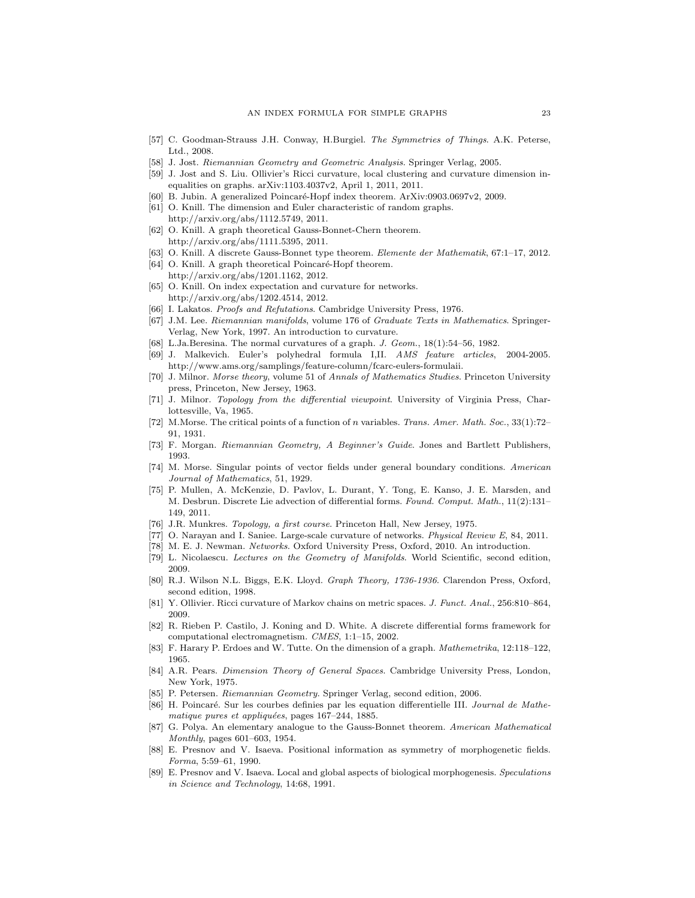- [57] C. Goodman-Strauss J.H. Conway, H.Burgiel. The Symmetries of Things. A.K. Peterse, Ltd., 2008.
- [58] J. Jost. Riemannian Geometry and Geometric Analysis. Springer Verlag, 2005.
- [59] J. Jost and S. Liu. Ollivier's Ricci curvature, local clustering and curvature dimension inequalities on graphs. arXiv:1103.4037v2, April 1, 2011, 2011.
- [60] B. Jubin. A generalized Poincaré-Hopf index theorem. ArXiv:0903.0697v2, 2009.
- [61] O. Knill. The dimension and Euler characteristic of random graphs. http://arxiv.org/abs/1112.5749, 2011.
- [62] O. Knill. A graph theoretical Gauss-Bonnet-Chern theorem. http://arxiv.org/abs/1111.5395, 2011.
- [63] O. Knill. A discrete Gauss-Bonnet type theorem. Elemente der Mathematik, 67:1–17, 2012.
- [64] O. Knill. A graph theoretical Poincaré-Hopf theorem. http://arxiv.org/abs/1201.1162, 2012.
- [65] O. Knill. On index expectation and curvature for networks. http://arxiv.org/abs/1202.4514, 2012.
- [66] I. Lakatos. Proofs and Refutations. Cambridge University Press, 1976.
- [67] J.M. Lee. Riemannian manifolds, volume 176 of Graduate Texts in Mathematics. Springer-Verlag, New York, 1997. An introduction to curvature.
- [68] L.Ja.Beresina. The normal curvatures of a graph. J. Geom., 18(1):54–56, 1982.
- [69] J. Malkevich. Euler's polyhedral formula I,II. AMS feature articles, 2004-2005. http://www.ams.org/samplings/feature-column/fcarc-eulers-formulaii.
- [70] J. Milnor. Morse theory, volume 51 of Annals of Mathematics Studies. Princeton University press, Princeton, New Jersey, 1963.
- [71] J. Milnor. Topology from the differential viewpoint. University of Virginia Press, Charlottesville, Va, 1965.
- [72] M.Morse. The critical points of a function of n variables. Trans. Amer. Math. Soc., 33(1):72– 91, 1931.
- [73] F. Morgan. Riemannian Geometry, A Beginner's Guide. Jones and Bartlett Publishers, 1993.
- [74] M. Morse. Singular points of vector fields under general boundary conditions. American Journal of Mathematics, 51, 1929.
- [75] P. Mullen, A. McKenzie, D. Pavlov, L. Durant, Y. Tong, E. Kanso, J. E. Marsden, and M. Desbrun. Discrete Lie advection of differential forms. Found. Comput. Math., 11(2):131– 149, 2011.
- [76] J.R. Munkres. Topology, a first course. Princeton Hall, New Jersey, 1975.
- [77] O. Narayan and I. Saniee. Large-scale curvature of networks. Physical Review E, 84, 2011.
- [78] M. E. J. Newman. Networks. Oxford University Press, Oxford, 2010. An introduction.
- [79] L. Nicolaescu. Lectures on the Geometry of Manifolds. World Scientific, second edition, 2009.
- [80] R.J. Wilson N.L. Biggs, E.K. Lloyd. Graph Theory, 1736-1936. Clarendon Press, Oxford, second edition, 1998.
- [81] Y. Ollivier. Ricci curvature of Markov chains on metric spaces. J. Funct. Anal., 256:810–864, 2009.
- [82] R. Rieben P. Castilo, J. Koning and D. White. A discrete differential forms framework for computational electromagnetism. CMES, 1:1–15, 2002.
- [83] F. Harary P. Erdoes and W. Tutte. On the dimension of a graph. Mathemetrika, 12:118–122, 1965.
- [84] A.R. Pears. *Dimension Theory of General Spaces*. Cambridge University Press, London, New York, 1975.
- [85] P. Petersen. Riemannian Geometry. Springer Verlag, second edition, 2006.
- [86] H. Poincaré. Sur les courbes definies par les equation differentielle III. Journal de Mathematique pures et appliquées, pages 167-244, 1885.
- [87] G. Polya. An elementary analogue to the Gauss-Bonnet theorem. American Mathematical Monthly, pages 601–603, 1954.
- [88] E. Presnov and V. Isaeva. Positional information as symmetry of morphogenetic fields. Forma, 5:59–61, 1990.
- [89] E. Presnov and V. Isaeva. Local and global aspects of biological morphogenesis. Speculations in Science and Technology, 14:68, 1991.